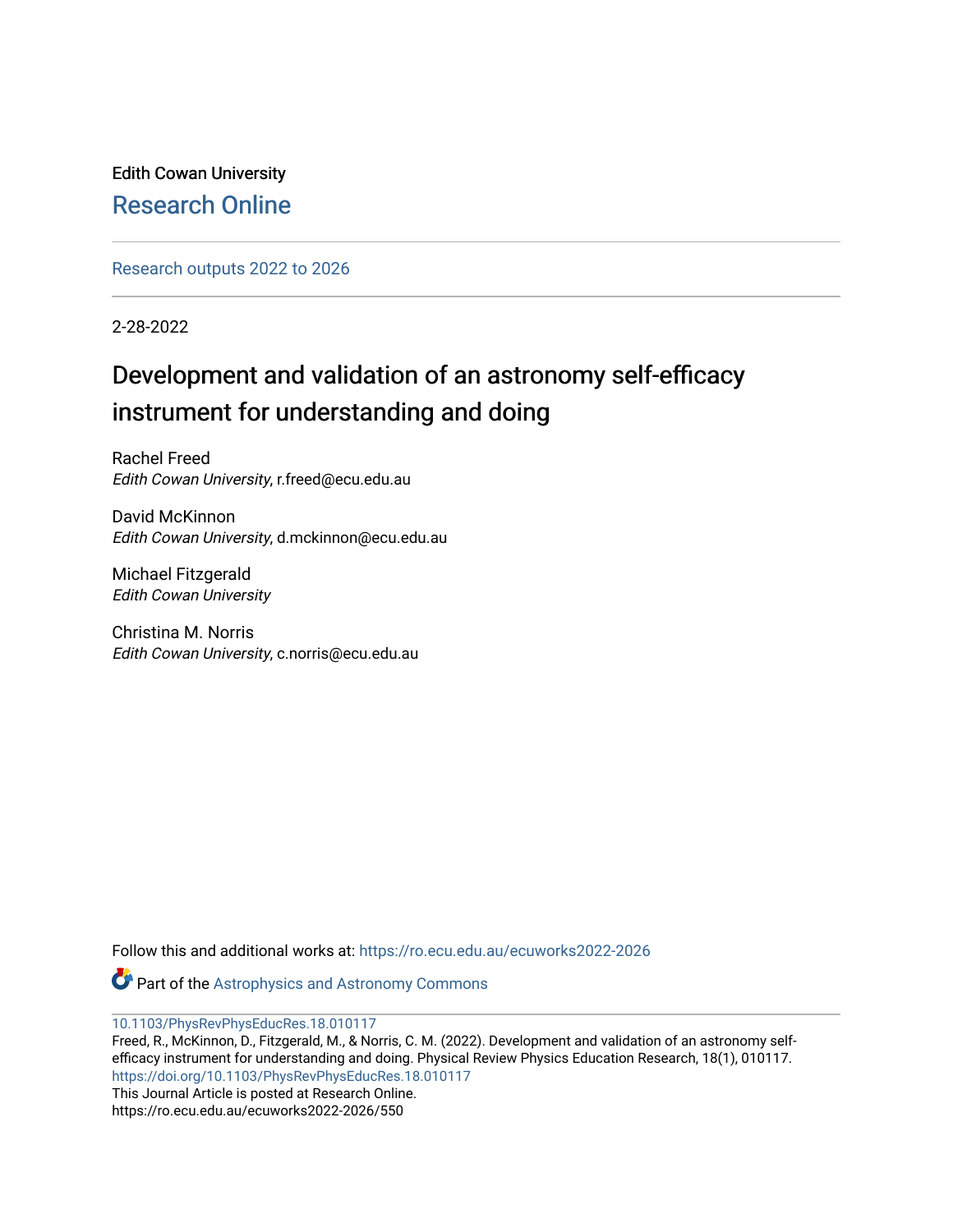Edith Cowan University [Research Online](https://ro.ecu.edu.au/) 

[Research outputs 2022 to 2026](https://ro.ecu.edu.au/ecuworks2022-2026) 

2-28-2022

# Development and validation of an astronomy self-efficacy instrument for understanding and doing

Rachel Freed Edith Cowan University, r.freed@ecu.edu.au

David McKinnon Edith Cowan University, d.mckinnon@ecu.edu.au

Michael Fitzgerald Edith Cowan University

Christina M. Norris Edith Cowan University, c.norris@ecu.edu.au

Follow this and additional works at: [https://ro.ecu.edu.au/ecuworks2022-2026](https://ro.ecu.edu.au/ecuworks2022-2026?utm_source=ro.ecu.edu.au%2Fecuworks2022-2026%2F550&utm_medium=PDF&utm_campaign=PDFCoverPages)

Part of the [Astrophysics and Astronomy Commons](https://network.bepress.com/hgg/discipline/123?utm_source=ro.ecu.edu.au%2Fecuworks2022-2026%2F550&utm_medium=PDF&utm_campaign=PDFCoverPages) 

[10.1103/PhysRevPhysEducRes.18.010117](http://dx.doi.org/10.1103/PhysRevPhysEducRes.18.010117) 

Freed, R., McKinnon, D., Fitzgerald, M., & Norris, C. M. (2022). Development and validation of an astronomy selfefficacy instrument for understanding and doing. Physical Review Physics Education Research, 18(1), 010117. <https://doi.org/10.1103/PhysRevPhysEducRes.18.010117> This Journal Article is posted at Research Online. https://ro.ecu.edu.au/ecuworks2022-2026/550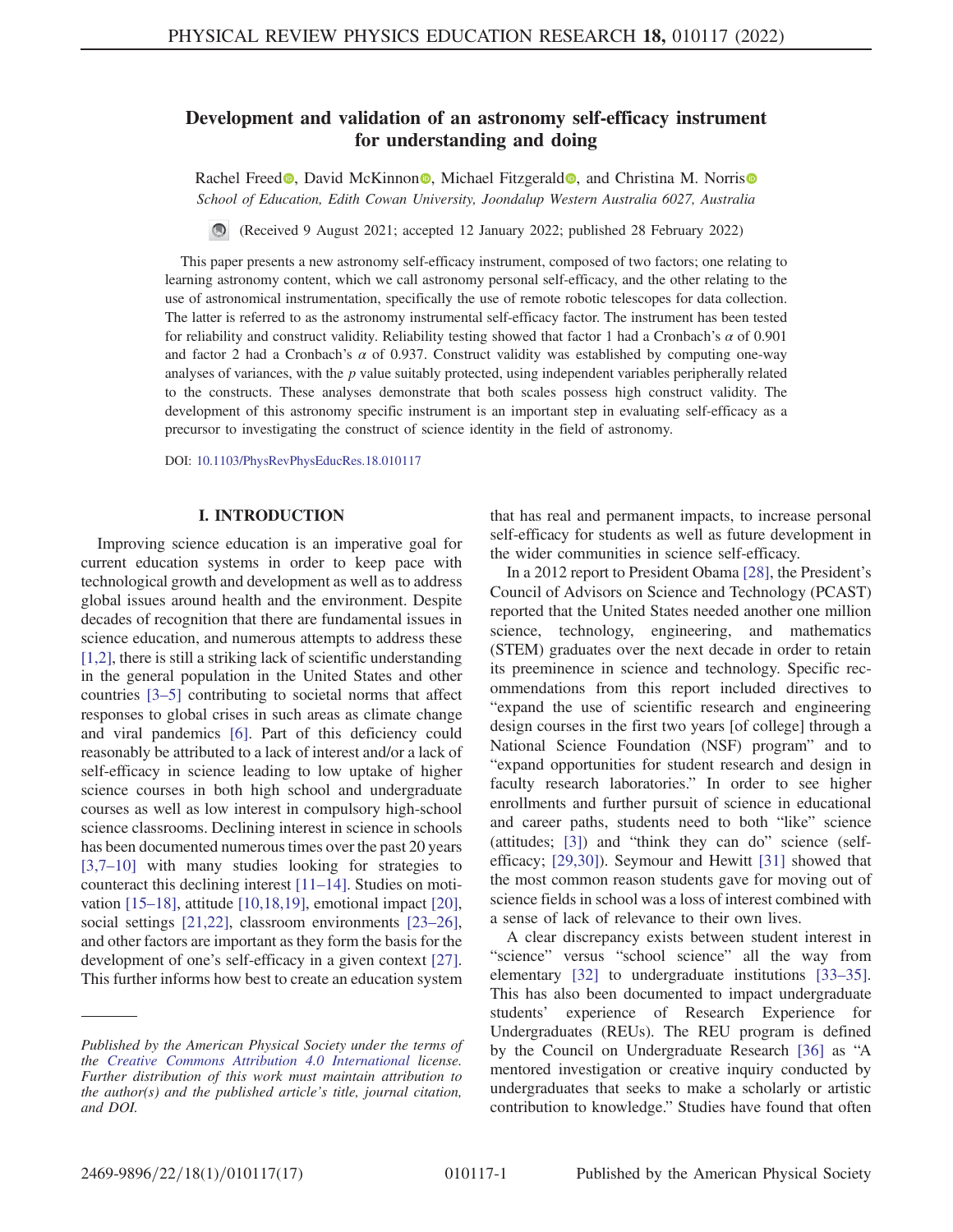## Development and validation of an astronomy self-efficacy instrument for understanding and doing

Rachel Freed<sup>®</sup>, David McKinnon<sup>®</sup>, Michael Fitzgerald<sup>®</sup>, and Christina M. Norris<sup>®</sup> School of Education, Edith Cowan University, Joondalup Western Australia 6027, Australia

(Received 9 August 2021; accepted 12 January 2022; published 28 February 2022)

This paper presents a new astronomy self-efficacy instrument, composed of two factors; one relating to learning astronomy content, which we call astronomy personal self-efficacy, and the other relating to the use of astronomical instrumentation, specifically the use of remote robotic telescopes for data collection. The latter is referred to as the astronomy instrumental self-efficacy factor. The instrument has been tested for reliability and construct validity. Reliability testing showed that factor 1 had a Cronbach's  $\alpha$  of 0.901 and factor 2 had a Cronbach's  $\alpha$  of 0.937. Construct validity was established by computing one-way analyses of variances, with the p value suitably protected, using independent variables peripherally related to the constructs. These analyses demonstrate that both scales possess high construct validity. The development of this astronomy specific instrument is an important step in evaluating self-efficacy as a precursor to investigating the construct of science identity in the field of astronomy.

DOI: [10.1103/PhysRevPhysEducRes.18.010117](https://doi.org/10.1103/PhysRevPhysEducRes.18.010117)

## I. INTRODUCTION

Improving science education is an imperative goal for current education systems in order to keep pace with technological growth and development as well as to address global issues around health and the environment. Despite decades of recognition that there are fundamental issues in science education, and numerous attempts to address these [\[1,](#page-13-0)[2](#page-13-1)], there is still a striking lack of scientific understanding in the general population in the United States and other countries [[3](#page-13-2)–[5](#page-13-3)] contributing to societal norms that affect responses to global crises in such areas as climate change and viral pandemics [\[6](#page-13-4)]. Part of this deficiency could reasonably be attributed to a lack of interest and/or a lack of self-efficacy in science leading to low uptake of higher science courses in both high school and undergraduate courses as well as low interest in compulsory high-school science classrooms. Declining interest in science in schools has been documented numerous times over the past 20 years [\[3,](#page-13-2)[7](#page-13-5)–[10](#page-13-6)] with many studies looking for strategies to counteract this declining interest [\[11](#page-13-7)–[14\]](#page-13-8). Studies on motivation [[15](#page-13-9)–[18](#page-13-10)], attitude [\[10](#page-13-6)[,18](#page-13-10)[,19\]](#page-14-0), emotional impact [[20](#page-14-1)], social settings [\[21,](#page-14-2)[22\]](#page-14-3), classroom environments [[23](#page-14-4)–[26](#page-14-5)], and other factors are important as they form the basis for the development of one's self-efficacy in a given context [[27](#page-14-6)]. This further informs how best to create an education system

that has real and permanent impacts, to increase personal self-efficacy for students as well as future development in the wider communities in science self-efficacy.

In a 2012 report to President Obama [[28](#page-14-7)], the President's Council of Advisors on Science and Technology (PCAST) reported that the United States needed another one million science, technology, engineering, and mathematics (STEM) graduates over the next decade in order to retain its preeminence in science and technology. Specific recommendations from this report included directives to "expand the use of scientific research and engineering design courses in the first two years [of college] through a National Science Foundation (NSF) program" and to "expand opportunities for student research and design in faculty research laboratories." In order to see higher enrollments and further pursuit of science in educational and career paths, students need to both "like" science (attitudes; [[3\]](#page-13-2)) and "think they can do" science (selfefficacy; [\[29,](#page-14-8)[30\]](#page-14-9)). Seymour and Hewitt [[31](#page-14-10)] showed that the most common reason students gave for moving out of science fields in school was a loss of interest combined with a sense of lack of relevance to their own lives.

A clear discrepancy exists between student interest in "science" versus "school science" all the way from elementary [[32](#page-14-11)] to undergraduate institutions [[33](#page-14-12)–[35](#page-14-13)]. This has also been documented to impact undergraduate students' experience of Research Experience for Undergraduates (REUs). The REU program is defined by the Council on Undergraduate Research [[36](#page-14-14)] as "A mentored investigation or creative inquiry conducted by undergraduates that seeks to make a scholarly or artistic contribution to knowledge." Studies have found that often

Published by the American Physical Society under the terms of the [Creative Commons Attribution 4.0 International](https://creativecommons.org/licenses/by/4.0/) license. Further distribution of this work must maintain attribution to the author(s) and the published article's title, journal citation, and DOI.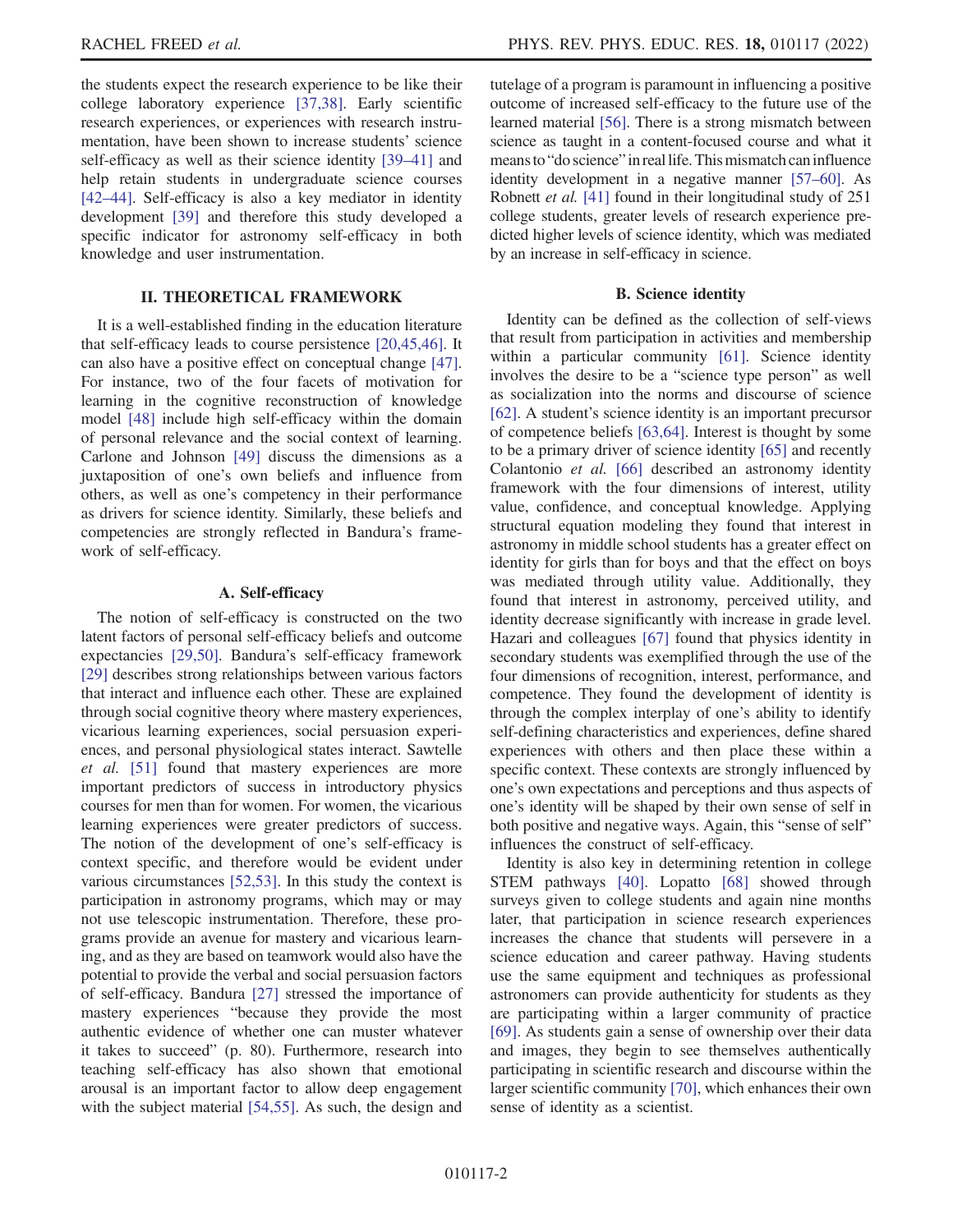the students expect the research experience to be like their college laboratory experience [\[37,](#page-14-15)[38](#page-14-16)]. Early scientific research experiences, or experiences with research instrumentation, have been shown to increase students' science self-efficacy as well as their science identity [[39](#page-14-17)–[41\]](#page-14-18) and help retain students in undergraduate science courses [\[42](#page-14-19)–[44\]](#page-14-20). Self-efficacy is also a key mediator in identity development [\[39\]](#page-14-17) and therefore this study developed a specific indicator for astronomy self-efficacy in both knowledge and user instrumentation.

## II. THEORETICAL FRAMEWORK

It is a well-established finding in the education literature that self-efficacy leads to course persistence [[20](#page-14-1),[45](#page-14-21),[46](#page-14-22)]. It can also have a positive effect on conceptual change [[47](#page-14-23)]. For instance, two of the four facets of motivation for learning in the cognitive reconstruction of knowledge model [[48](#page-14-24)] include high self-efficacy within the domain of personal relevance and the social context of learning. Carlone and Johnson [\[49\]](#page-14-25) discuss the dimensions as a juxtaposition of one's own beliefs and influence from others, as well as one's competency in their performance as drivers for science identity. Similarly, these beliefs and competencies are strongly reflected in Bandura's framework of self-efficacy.

#### A. Self-efficacy

The notion of self-efficacy is constructed on the two latent factors of personal self-efficacy beliefs and outcome expectancies [\[29,](#page-14-8)[50](#page-15-0)]. Bandura's self-efficacy framework [\[29\]](#page-14-8) describes strong relationships between various factors that interact and influence each other. These are explained through social cognitive theory where mastery experiences, vicarious learning experiences, social persuasion experiences, and personal physiological states interact. Sawtelle et al. [\[51\]](#page-15-1) found that mastery experiences are more important predictors of success in introductory physics courses for men than for women. For women, the vicarious learning experiences were greater predictors of success. The notion of the development of one's self-efficacy is context specific, and therefore would be evident under various circumstances [\[52,](#page-15-2)[53\]](#page-15-3). In this study the context is participation in astronomy programs, which may or may not use telescopic instrumentation. Therefore, these programs provide an avenue for mastery and vicarious learning, and as they are based on teamwork would also have the potential to provide the verbal and social persuasion factors of self-efficacy. Bandura [\[27\]](#page-14-6) stressed the importance of mastery experiences "because they provide the most authentic evidence of whether one can muster whatever it takes to succeed" (p. 80). Furthermore, research into teaching self-efficacy has also shown that emotional arousal is an important factor to allow deep engagement with the subject material [[54](#page-15-4),[55](#page-15-5)]. As such, the design and

tutelage of a program is paramount in influencing a positive outcome of increased self-efficacy to the future use of the learned material [[56](#page-15-6)]. There is a strong mismatch between science as taught in a content-focused course and what it means to "do science" in real life. This mismatch can influence identity development in a negative manner [[57](#page-15-7)–[60](#page-15-8)]. As Robnett et al. [\[41](#page-14-18)] found in their longitudinal study of 251 college students, greater levels of research experience predicted higher levels of science identity, which was mediated by an increase in self-efficacy in science.

#### B. Science identity

Identity can be defined as the collection of self-views that result from participation in activities and membership within a particular community [\[61\]](#page-15-9). Science identity involves the desire to be a "science type person" as well as socialization into the norms and discourse of science [\[62\]](#page-15-10). A student's science identity is an important precursor of competence beliefs [\[63,](#page-15-11)[64\]](#page-15-12). Interest is thought by some to be a primary driver of science identity [\[65](#page-15-13)] and recently Colantonio et al. [\[66\]](#page-15-14) described an astronomy identity framework with the four dimensions of interest, utility value, confidence, and conceptual knowledge. Applying structural equation modeling they found that interest in astronomy in middle school students has a greater effect on identity for girls than for boys and that the effect on boys was mediated through utility value. Additionally, they found that interest in astronomy, perceived utility, and identity decrease significantly with increase in grade level. Hazari and colleagues [\[67\]](#page-15-15) found that physics identity in secondary students was exemplified through the use of the four dimensions of recognition, interest, performance, and competence. They found the development of identity is through the complex interplay of one's ability to identify self-defining characteristics and experiences, define shared experiences with others and then place these within a specific context. These contexts are strongly influenced by one's own expectations and perceptions and thus aspects of one's identity will be shaped by their own sense of self in both positive and negative ways. Again, this "sense of self" influences the construct of self-efficacy.

Identity is also key in determining retention in college STEM pathways [\[40\]](#page-14-26). Lopatto [\[68\]](#page-15-16) showed through surveys given to college students and again nine months later, that participation in science research experiences increases the chance that students will persevere in a science education and career pathway. Having students use the same equipment and techniques as professional astronomers can provide authenticity for students as they are participating within a larger community of practice [\[69\]](#page-15-17). As students gain a sense of ownership over their data and images, they begin to see themselves authentically participating in scientific research and discourse within the larger scientific community [\[70\]](#page-15-18), which enhances their own sense of identity as a scientist.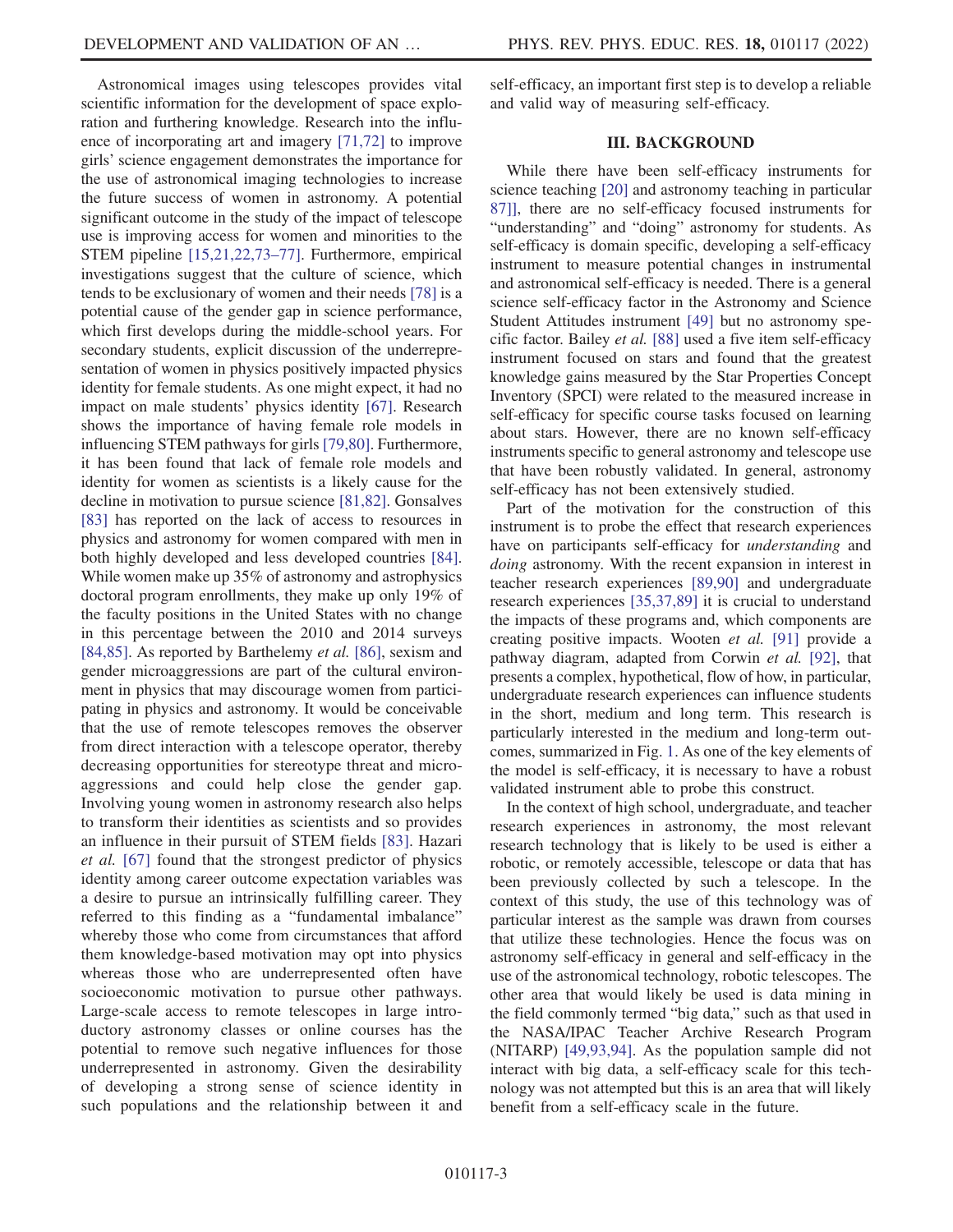Astronomical images using telescopes provides vital scientific information for the development of space exploration and furthering knowledge. Research into the influence of incorporating art and imagery [\[71](#page-15-19)[,72\]](#page-15-20) to improve girls' science engagement demonstrates the importance for the use of astronomical imaging technologies to increase the future success of women in astronomy. A potential significant outcome in the study of the impact of telescope use is improving access for women and minorities to the STEM pipeline [\[15](#page-13-9)[,21,](#page-14-2)[22](#page-14-3),[73](#page-15-21)–[77\]](#page-15-22). Furthermore, empirical investigations suggest that the culture of science, which tends to be exclusionary of women and their needs [[78](#page-15-23)] is a potential cause of the gender gap in science performance, which first develops during the middle-school years. For secondary students, explicit discussion of the underrepresentation of women in physics positively impacted physics identity for female students. As one might expect, it had no impact on male students' physics identity [[67](#page-15-15)]. Research shows the importance of having female role models in influencing STEM pathways for girls [[79](#page-15-24),[80](#page-15-25)]. Furthermore, it has been found that lack of female role models and identity for women as scientists is a likely cause for the decline in motivation to pursue science [\[81](#page-15-26)[,82\]](#page-15-27). Gonsalves [\[83\]](#page-15-28) has reported on the lack of access to resources in physics and astronomy for women compared with men in both highly developed and less developed countries [[84](#page-15-29)]. While women make up 35% of astronomy and astrophysics doctoral program enrollments, they make up only 19% of the faculty positions in the United States with no change in this percentage between the 2010 and 2014 surveys [\[84](#page-15-29)[,85\]](#page-15-30). As reported by Barthelemy *et al.* [\[86\]](#page-16-0), sexism and gender microaggressions are part of the cultural environment in physics that may discourage women from participating in physics and astronomy. It would be conceivable that the use of remote telescopes removes the observer from direct interaction with a telescope operator, thereby decreasing opportunities for stereotype threat and microaggressions and could help close the gender gap. Involving young women in astronomy research also helps to transform their identities as scientists and so provides an influence in their pursuit of STEM fields [[83\]](#page-15-28). Hazari et al. [[67](#page-15-15)] found that the strongest predictor of physics identity among career outcome expectation variables was a desire to pursue an intrinsically fulfilling career. They referred to this finding as a "fundamental imbalance" whereby those who come from circumstances that afford them knowledge-based motivation may opt into physics whereas those who are underrepresented often have socioeconomic motivation to pursue other pathways. Large-scale access to remote telescopes in large introductory astronomy classes or online courses has the potential to remove such negative influences for those underrepresented in astronomy. Given the desirability of developing a strong sense of science identity in such populations and the relationship between it and

self-efficacy, an important first step is to develop a reliable and valid way of measuring self-efficacy.

## III. BACKGROUND

While there have been self-efficacy instruments for science teaching [[20](#page-14-1)] and astronomy teaching in particular [87](#page-16-1)[\]](#page-16-1), there are no self-efficacy focused instruments for "understanding" and "doing" astronomy for students. As self-efficacy is domain specific, developing a self-efficacy instrument to measure potential changes in instrumental and astronomical self-efficacy is needed. There is a general science self-efficacy factor in the Astronomy and Science Student Attitudes instrument [[49](#page-14-25)] but no astronomy specific factor. Bailey et al. [[88](#page-16-2)] used a five item self-efficacy instrument focused on stars and found that the greatest knowledge gains measured by the Star Properties Concept Inventory (SPCI) were related to the measured increase in self-efficacy for specific course tasks focused on learning about stars. However, there are no known self-efficacy instruments specific to general astronomy and telescope use that have been robustly validated. In general, astronomy self-efficacy has not been extensively studied.

Part of the motivation for the construction of this instrument is to probe the effect that research experiences have on participants self-efficacy for *understanding* and doing astronomy. With the recent expansion in interest in teacher research experiences [[89](#page-16-3),[90](#page-16-4)] and undergraduate research experiences [\[35,](#page-14-13)[37](#page-14-15),[89](#page-16-3)] it is crucial to understand the impacts of these programs and, which components are creating positive impacts. Wooten et al. [[91](#page-16-5)] provide a pathway diagram, adapted from Corwin et al. [[92](#page-16-6)], that presents a complex, hypothetical, flow of how, in particular, undergraduate research experiences can influence students in the short, medium and long term. This research is particularly interested in the medium and long-term outcomes, summarized in Fig. [1.](#page-4-0) As one of the key elements of the model is self-efficacy, it is necessary to have a robust validated instrument able to probe this construct.

In the context of high school, undergraduate, and teacher research experiences in astronomy, the most relevant research technology that is likely to be used is either a robotic, or remotely accessible, telescope or data that has been previously collected by such a telescope. In the context of this study, the use of this technology was of particular interest as the sample was drawn from courses that utilize these technologies. Hence the focus was on astronomy self-efficacy in general and self-efficacy in the use of the astronomical technology, robotic telescopes. The other area that would likely be used is data mining in the field commonly termed "big data," such as that used in the NASA/IPAC Teacher Archive Research Program (NITARP) [\[49](#page-14-25)[,93](#page-16-7)[,94\]](#page-16-8). As the population sample did not interact with big data, a self-efficacy scale for this technology was not attempted but this is an area that will likely benefit from a self-efficacy scale in the future.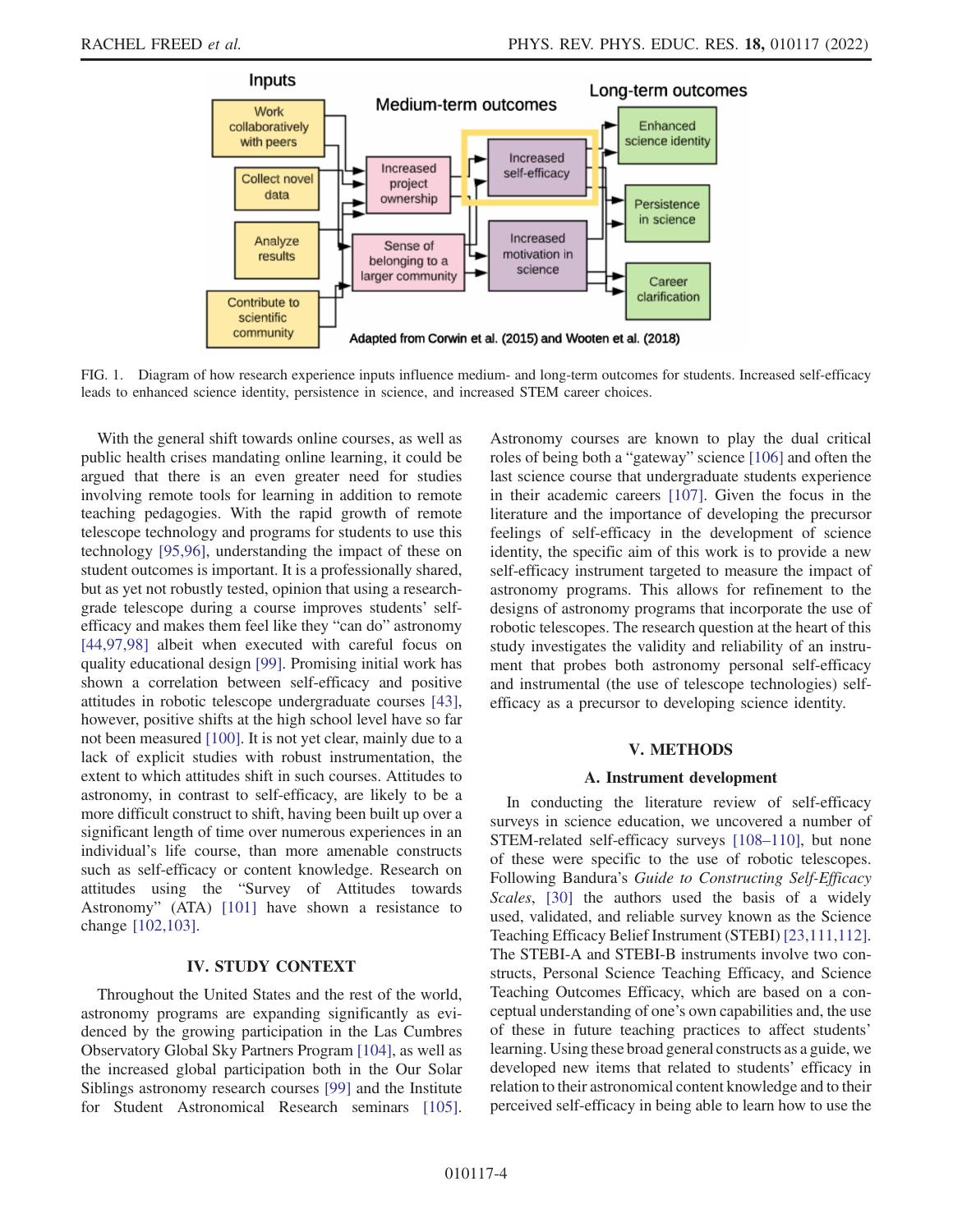<span id="page-4-0"></span>

FIG. 1. Diagram of how research experience inputs influence medium- and long-term outcomes for students. Increased self-efficacy leads to enhanced science identity, persistence in science, and increased STEM career choices.

With the general shift towards online courses, as well as public health crises mandating online learning, it could be argued that there is an even greater need for studies involving remote tools for learning in addition to remote teaching pedagogies. With the rapid growth of remote telescope technology and programs for students to use this technology [\[95](#page-16-9)[,96\]](#page-16-10), understanding the impact of these on student outcomes is important. It is a professionally shared, but as yet not robustly tested, opinion that using a researchgrade telescope during a course improves students' selfefficacy and makes them feel like they "can do" astronomy [\[44](#page-14-20)[,97](#page-16-11),[98](#page-16-12)] albeit when executed with careful focus on quality educational design [[99](#page-16-13)]. Promising initial work has shown a correlation between self-efficacy and positive attitudes in robotic telescope undergraduate courses [[43](#page-14-27)], however, positive shifts at the high school level have so far not been measured [\[100](#page-16-14)]. It is not yet clear, mainly due to a lack of explicit studies with robust instrumentation, the extent to which attitudes shift in such courses. Attitudes to astronomy, in contrast to self-efficacy, are likely to be a more difficult construct to shift, having been built up over a significant length of time over numerous experiences in an individual's life course, than more amenable constructs such as self-efficacy or content knowledge. Research on attitudes using the "Survey of Attitudes towards Astronomy" (ATA) [[101\]](#page-16-15) have shown a resistance to change [[102](#page-16-16),[103\]](#page-16-17).

## IV. STUDY CONTEXT

Throughout the United States and the rest of the world, astronomy programs are expanding significantly as evidenced by the growing participation in the Las Cumbres Observatory Global Sky Partners Program [[104](#page-16-18)], as well as the increased global participation both in the Our Solar Siblings astronomy research courses [[99](#page-16-13)] and the Institute for Student Astronomical Research seminars [\[105](#page-16-19)]. Astronomy courses are known to play the dual critical roles of being both a "gateway" science [[106](#page-16-20)] and often the last science course that undergraduate students experience in their academic careers [[107\]](#page-16-21). Given the focus in the literature and the importance of developing the precursor feelings of self-efficacy in the development of science identity, the specific aim of this work is to provide a new self-efficacy instrument targeted to measure the impact of astronomy programs. This allows for refinement to the designs of astronomy programs that incorporate the use of robotic telescopes. The research question at the heart of this study investigates the validity and reliability of an instrument that probes both astronomy personal self-efficacy and instrumental (the use of telescope technologies) selfefficacy as a precursor to developing science identity.

## V. METHODS

#### A. Instrument development

In conducting the literature review of self-efficacy surveys in science education, we uncovered a number of STEM-related self-efficacy surveys [\[108](#page-16-22)–[110](#page-16-23)], but none of these were specific to the use of robotic telescopes. Following Bandura's Guide to Constructing Self-Efficacy Scales, [\[30\]](#page-14-9) the authors used the basis of a widely used, validated, and reliable survey known as the Science Teaching Efficacy Belief Instrument (STEBI) [[23](#page-14-4),[111](#page-16-24)[,112](#page-16-25)]. The STEBI-A and STEBI-B instruments involve two constructs, Personal Science Teaching Efficacy, and Science Teaching Outcomes Efficacy, which are based on a conceptual understanding of one's own capabilities and, the use of these in future teaching practices to affect students' learning. Using these broad general constructs as a guide, we developed new items that related to students' efficacy in relation to their astronomical content knowledge and to their perceived self-efficacy in being able to learn how to use the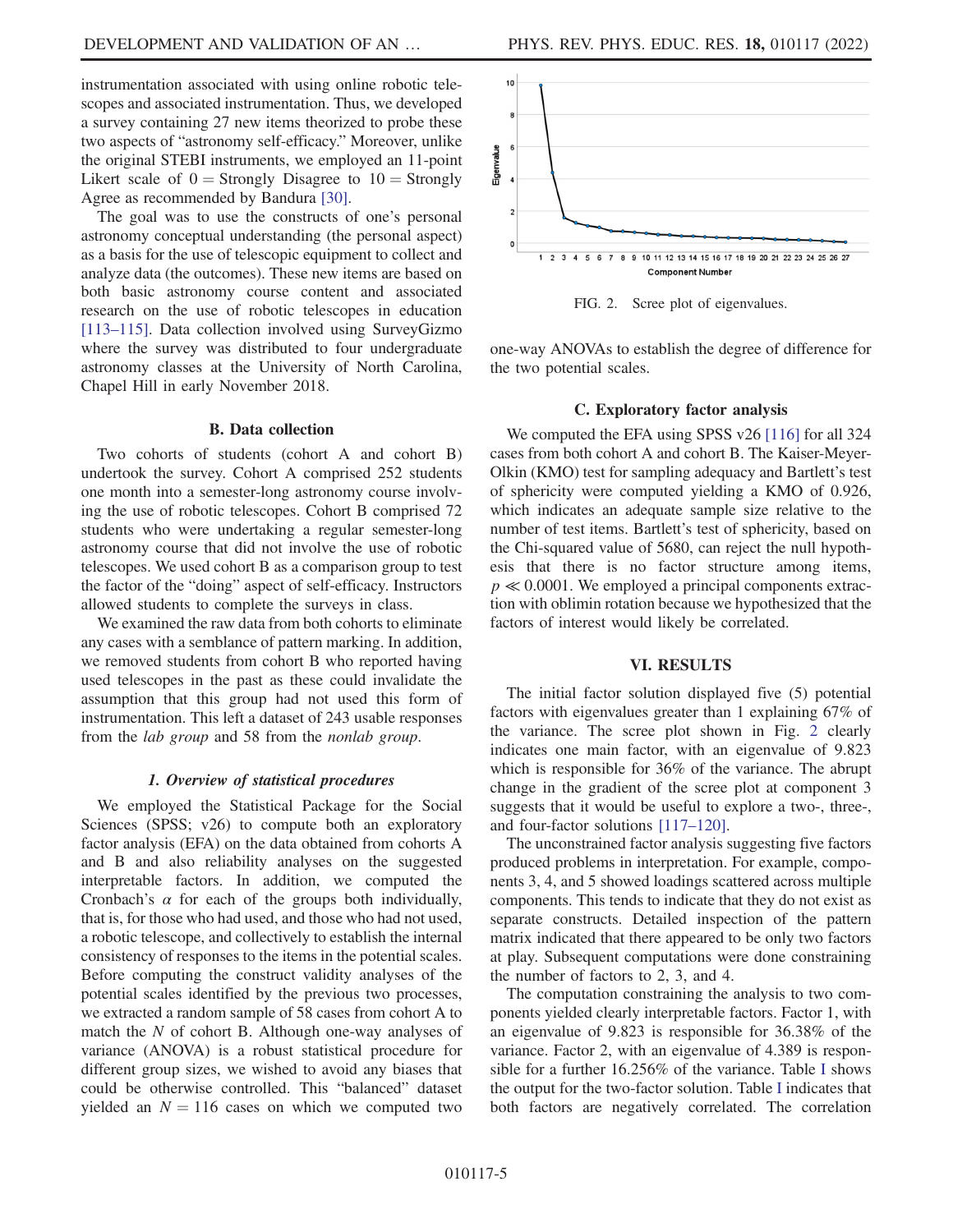instrumentation associated with using online robotic telescopes and associated instrumentation. Thus, we developed a survey containing 27 new items theorized to probe these two aspects of "astronomy self-efficacy." Moreover, unlike the original STEBI instruments, we employed an 11-point Likert scale of  $0 =$  Strongly Disagree to  $10 =$  Strongly Agree as recommended by Bandura [[30](#page-14-9)].

The goal was to use the constructs of one's personal astronomy conceptual understanding (the personal aspect) as a basis for the use of telescopic equipment to collect and analyze data (the outcomes). These new items are based on both basic astronomy course content and associated research on the use of robotic telescopes in education [\[113](#page-16-26)–[115](#page-17-0)]. Data collection involved using SurveyGizmo where the survey was distributed to four undergraduate astronomy classes at the University of North Carolina, Chapel Hill in early November 2018.

## B. Data collection

Two cohorts of students (cohort A and cohort B) undertook the survey. Cohort A comprised 252 students one month into a semester-long astronomy course involving the use of robotic telescopes. Cohort B comprised 72 students who were undertaking a regular semester-long astronomy course that did not involve the use of robotic telescopes. We used cohort B as a comparison group to test the factor of the "doing" aspect of self-efficacy. Instructors allowed students to complete the surveys in class.

We examined the raw data from both cohorts to eliminate any cases with a semblance of pattern marking. In addition, we removed students from cohort B who reported having used telescopes in the past as these could invalidate the assumption that this group had not used this form of instrumentation. This left a dataset of 243 usable responses from the lab group and 58 from the nonlab group.

#### 1. Overview of statistical procedures

<span id="page-5-1"></span>We employed the Statistical Package for the Social Sciences (SPSS; v26) to compute both an exploratory factor analysis (EFA) on the data obtained from cohorts A and B and also reliability analyses on the suggested interpretable factors. In addition, we computed the Cronbach's  $\alpha$  for each of the groups both individually, that is, for those who had used, and those who had not used, a robotic telescope, and collectively to establish the internal consistency of responses to the items in the potential scales. Before computing the construct validity analyses of the potential scales identified by the previous two processes, we extracted a random sample of 58 cases from cohort A to match the  $N$  of cohort B. Although one-way analyses of variance (ANOVA) is a robust statistical procedure for different group sizes, we wished to avoid any biases that could be otherwise controlled. This "balanced" dataset yielded an  $N = 116$  cases on which we computed two

<span id="page-5-0"></span>

FIG. 2. Scree plot of eigenvalues.

one-way ANOVAs to establish the degree of difference for the two potential scales.

#### C. Exploratory factor analysis

We computed the EFA using SPSS v26 [\[116\]](#page-17-1) for all 324 cases from both cohort A and cohort B. The Kaiser-Meyer-Olkin (KMO) test for sampling adequacy and Bartlett's test of sphericity were computed yielding a KMO of 0.926, which indicates an adequate sample size relative to the number of test items. Bartlett's test of sphericity, based on the Chi-squared value of 5680, can reject the null hypothesis that there is no factor structure among items,  $p \ll 0.0001$ . We employed a principal components extraction with oblimin rotation because we hypothesized that the factors of interest would likely be correlated.

#### VI. RESULTS

The initial factor solution displayed five (5) potential factors with eigenvalues greater than 1 explaining 67% of the variance. The scree plot shown in Fig. [2](#page-5-0) clearly indicates one main factor, with an eigenvalue of 9.823 which is responsible for 36% of the variance. The abrupt change in the gradient of the scree plot at component 3 suggests that it would be useful to explore a two-, three-, and four-factor solutions [[117](#page-17-2)–[120](#page-17-3)].

The unconstrained factor analysis suggesting five factors produced problems in interpretation. For example, components 3, 4, and 5 showed loadings scattered across multiple components. This tends to indicate that they do not exist as separate constructs. Detailed inspection of the pattern matrix indicated that there appeared to be only two factors at play. Subsequent computations were done constraining the number of factors to 2, 3, and 4.

The computation constraining the analysis to two components yielded clearly interpretable factors. Factor 1, with an eigenvalue of 9.823 is responsible for 36.38% of the variance. Factor 2, with an eigenvalue of 4.389 is responsible for a further 16.256% of the variance. Table [I](#page-6-0) shows the output for the two-factor solution. Table [I](#page-6-0) indicates that both factors are negatively correlated. The correlation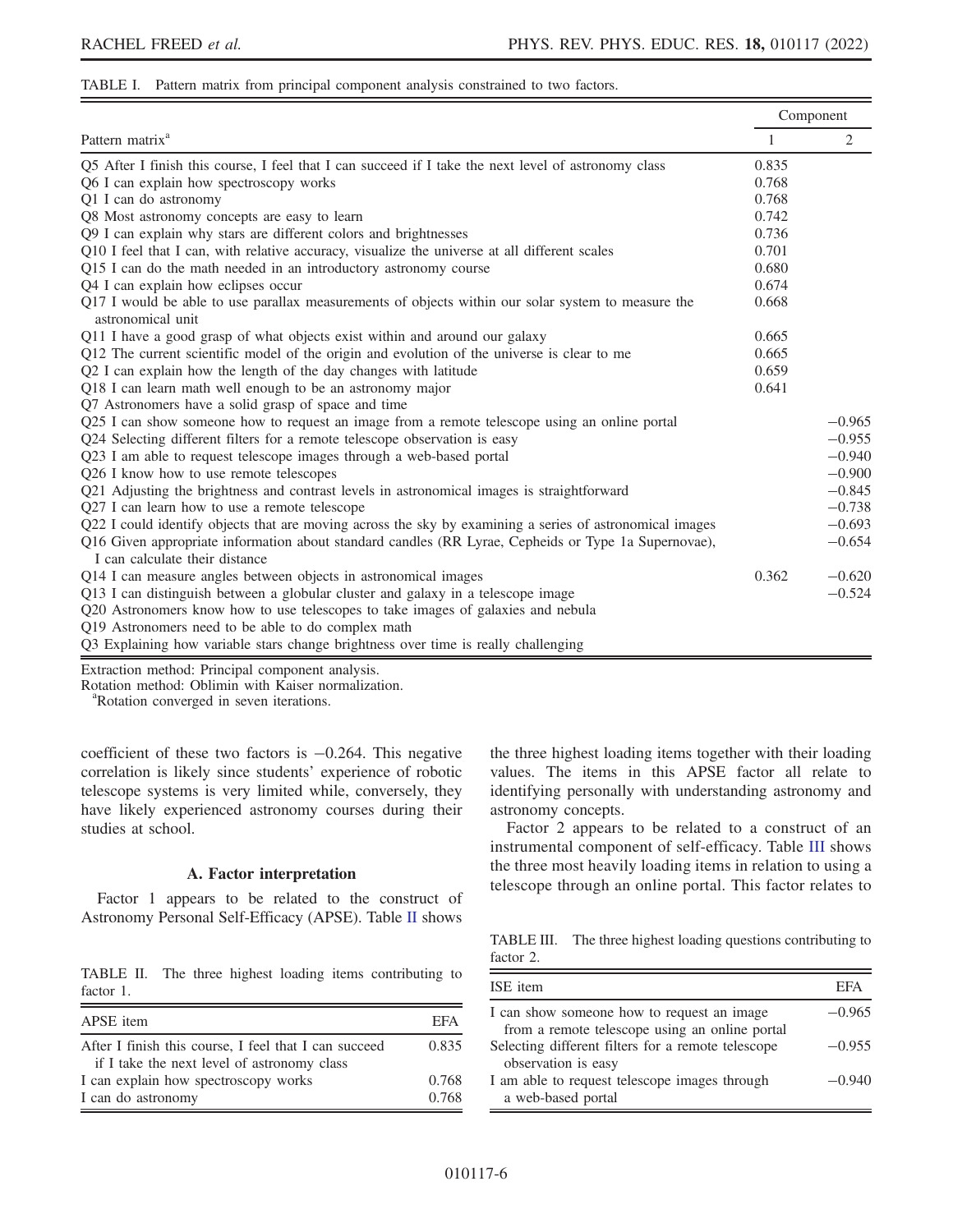#### <span id="page-6-0"></span>TABLE I. Pattern matrix from principal component analysis constrained to two factors.

|                                                                                                                         |              | Component      |
|-------------------------------------------------------------------------------------------------------------------------|--------------|----------------|
| Pattern matrix <sup>a</sup>                                                                                             | $\mathbf{1}$ | $\overline{2}$ |
| Q5 After I finish this course, I feel that I can succeed if I take the next level of astronomy class                    | 0.835        |                |
| Q6 I can explain how spectroscopy works                                                                                 | 0.768        |                |
| Q1 I can do astronomy                                                                                                   | 0.768        |                |
| Q8 Most astronomy concepts are easy to learn                                                                            | 0.742        |                |
| Q9 I can explain why stars are different colors and brightnesses                                                        | 0.736        |                |
| Q10 I feel that I can, with relative accuracy, visualize the universe at all different scales                           | 0.701        |                |
| Q15 I can do the math needed in an introductory astronomy course                                                        | 0.680        |                |
| Q4 I can explain how eclipses occur                                                                                     | 0.674        |                |
| Q17 I would be able to use parallax measurements of objects within our solar system to measure the<br>astronomical unit | 0.668        |                |
| Q11 I have a good grasp of what objects exist within and around our galaxy                                              | 0.665        |                |
| Q12 The current scientific model of the origin and evolution of the universe is clear to me                             | 0.665        |                |
| Q2 I can explain how the length of the day changes with latitude                                                        | 0.659        |                |
| Q18 I can learn math well enough to be an astronomy major                                                               | 0.641        |                |
| Q7 Astronomers have a solid grasp of space and time                                                                     |              |                |
| Q25 I can show someone how to request an image from a remote telescope using an online portal                           |              | $-0.965$       |
| Q24 Selecting different filters for a remote telescope observation is easy                                              |              | $-0.955$       |
| Q23 I am able to request telescope images through a web-based portal                                                    |              | $-0.940$       |
| Q26 I know how to use remote telescopes                                                                                 |              | $-0.900$       |
| Q21 Adjusting the brightness and contrast levels in astronomical images is straightforward                              |              | $-0.845$       |
| Q27 I can learn how to use a remote telescope                                                                           |              | $-0.738$       |
| Q22 I could identify objects that are moving across the sky by examining a series of astronomical images                |              | $-0.693$       |
| Q16 Given appropriate information about standard candles (RR Lyrae, Cepheids or Type 1a Supernovae),                    |              | $-0.654$       |
| I can calculate their distance                                                                                          |              |                |
| Q14 I can measure angles between objects in astronomical images                                                         | 0.362        | $-0.620$       |
| Q13 I can distinguish between a globular cluster and galaxy in a telescope image                                        |              | $-0.524$       |
| Q20 Astronomers know how to use telescopes to take images of galaxies and nebula                                        |              |                |
| Q19 Astronomers need to be able to do complex math                                                                      |              |                |
| Q3 Explaining how variable stars change brightness over time is really challenging                                      |              |                |
|                                                                                                                         |              |                |

Extraction method: Principal component analysis.

Rotation method: Oblimin with Kaiser normalization.

Rotation converged in seven iterations.

coefficient of these two factors is −0.264. This negative correlation is likely since students' experience of robotic telescope systems is very limited while, conversely, they have likely experienced astronomy courses during their studies at school.

## A. Factor interpretation

Factor 1 appears to be related to the construct of Astronomy Personal Self-Efficacy (APSE). Table [II](#page-6-1) shows

<span id="page-6-1"></span>TABLE II. The three highest loading items contributing to factor 1.

| APSE item                                                                                            | EFA   |
|------------------------------------------------------------------------------------------------------|-------|
| After I finish this course, I feel that I can succeed<br>if I take the next level of astronomy class | 0.835 |
| I can explain how spectroscopy works                                                                 | 0.768 |
| I can do astronomy                                                                                   | 0.768 |

the three highest loading items together with their loading values. The items in this APSE factor all relate to identifying personally with understanding astronomy and astronomy concepts.

Factor 2 appears to be related to a construct of an instrumental component of self-efficacy. Table [III](#page-6-2) shows the three most heavily loading items in relation to using a telescope through an online portal. This factor relates to

<span id="page-6-2"></span>TABLE III. The three highest loading questions contributing to factor 2.

| ISE item                                                                                     | EFA      |
|----------------------------------------------------------------------------------------------|----------|
| I can show someone how to request an image<br>from a remote telescope using an online portal | $-0.965$ |
| Selecting different filters for a remote telescope<br>observation is easy                    | $-0.955$ |
| I am able to request telescope images through<br>a web-based portal                          | $-0.940$ |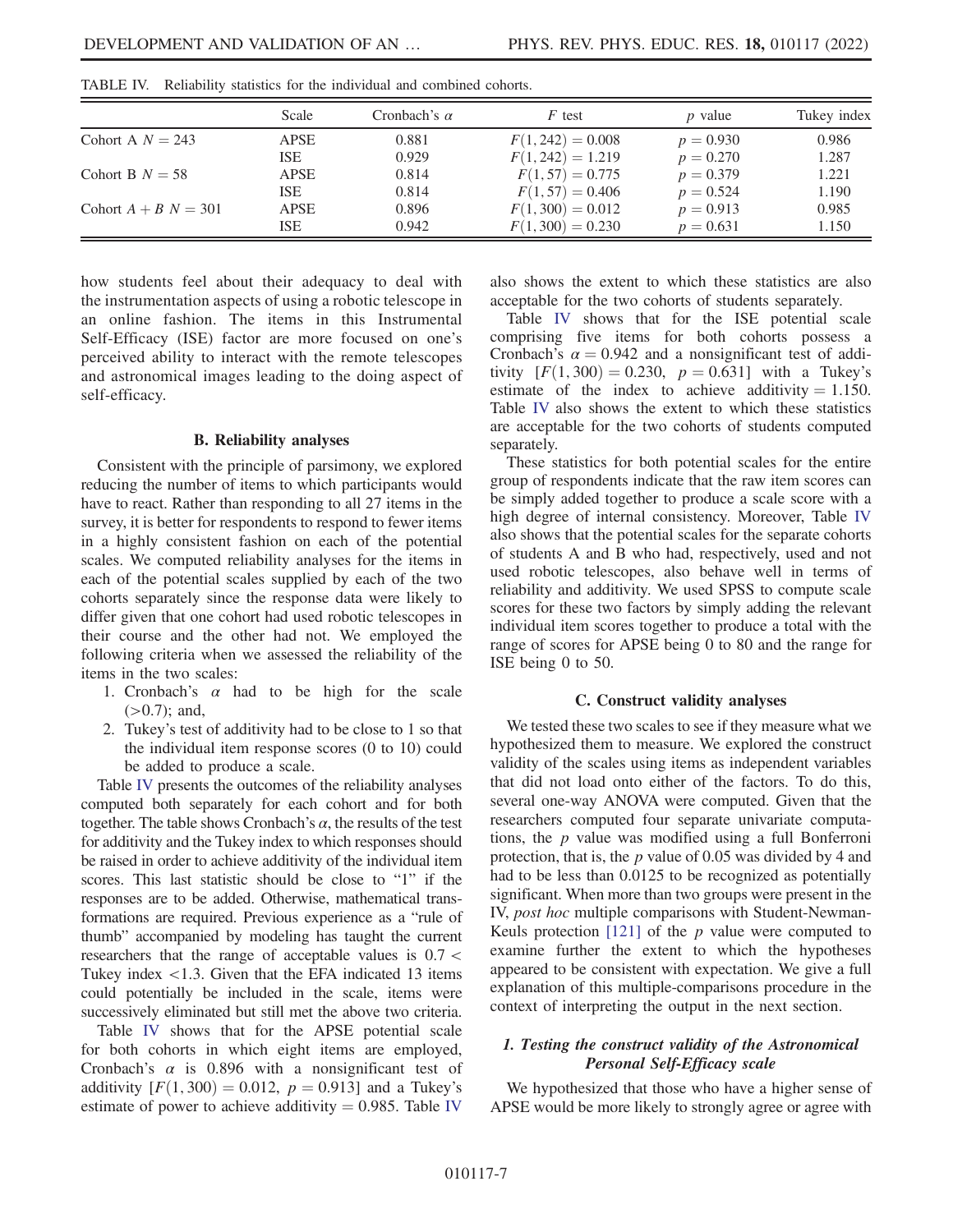|                        | Scale       | Cronbach's $\alpha$ | $F$ test            | <i>p</i> value | Tukey index |
|------------------------|-------------|---------------------|---------------------|----------------|-------------|
| Cohort A $N = 243$     | <b>APSE</b> | 0.881               | $F(1, 242) = 0.008$ | $p = 0.930$    | 0.986       |
|                        | ISE         | 0.929               | $F(1, 242) = 1.219$ | $p = 0.270$    | 1.287       |
| Cohort B $N = 58$      | <b>APSE</b> | 0.814               | $F(1,57) = 0.775$   | $p = 0.379$    | 1.221       |
|                        | ISE         | 0.814               | $F(1, 57) = 0.406$  | $p = 0.524$    | 1.190       |
| Cohort $A + B N = 301$ | <b>APSE</b> | 0.896               | $F(1,300) = 0.012$  | $p = 0.913$    | 0.985       |
|                        | ISE         | 0.942               | $F(1,300) = 0.230$  | $p = 0.631$    | 1.150       |

<span id="page-7-0"></span>TABLE IV. Reliability statistics for the individual and combined cohorts.

how students feel about their adequacy to deal with the instrumentation aspects of using a robotic telescope in an online fashion. The items in this Instrumental Self-Efficacy (ISE) factor are more focused on one's perceived ability to interact with the remote telescopes and astronomical images leading to the doing aspect of self-efficacy.

#### B. Reliability analyses

Consistent with the principle of parsimony, we explored reducing the number of items to which participants would have to react. Rather than responding to all 27 items in the survey, it is better for respondents to respond to fewer items in a highly consistent fashion on each of the potential scales. We computed reliability analyses for the items in each of the potential scales supplied by each of the two cohorts separately since the response data were likely to differ given that one cohort had used robotic telescopes in their course and the other had not. We employed the following criteria when we assessed the reliability of the items in the two scales:

- 1. Cronbach's  $\alpha$  had to be high for the scale  $(>0.7)$ ; and,
- 2. Tukey's test of additivity had to be close to 1 so that the individual item response scores (0 to 10) could be added to produce a scale.

Table [IV](#page-7-0) presents the outcomes of the reliability analyses computed both separately for each cohort and for both together. The table shows Cronbach's  $\alpha$ , the results of the test for additivity and the Tukey index to which responses should be raised in order to achieve additivity of the individual item scores. This last statistic should be close to "1" if the responses are to be added. Otherwise, mathematical transformations are required. Previous experience as a "rule of thumb" accompanied by modeling has taught the current researchers that the range of acceptable values is 0.7 < Tukey index <1.3. Given that the EFA indicated 13 items could potentially be included in the scale, items were successively eliminated but still met the above two criteria.

Table [IV](#page-7-0) shows that for the APSE potential scale for both cohorts in which eight items are employed, Cronbach's  $\alpha$  is 0.896 with a nonsignificant test of additivity  $[F(1, 300) = 0.012, p = 0.913]$  and a Tukey's estimate of power to achieve additivity  $= 0.985$ . Table [IV](#page-7-0)

also shows the extent to which these statistics are also acceptable for the two cohorts of students separately.

Table [IV](#page-7-0) shows that for the ISE potential scale comprising five items for both cohorts possess a Cronbach's  $\alpha = 0.942$  and a nonsignificant test of additivity  $[F(1, 300) = 0.230, p = 0.631]$  with a Tukey's estimate of the index to achieve additivity  $= 1.150$ . Table [IV](#page-7-0) also shows the extent to which these statistics are acceptable for the two cohorts of students computed separately.

These statistics for both potential scales for the entire group of respondents indicate that the raw item scores can be simply added together to produce a scale score with a high degree of internal consistency. Moreover, Table [IV](#page-7-0) also shows that the potential scales for the separate cohorts of students A and B who had, respectively, used and not used robotic telescopes, also behave well in terms of reliability and additivity. We used SPSS to compute scale scores for these two factors by simply adding the relevant individual item scores together to produce a total with the range of scores for APSE being 0 to 80 and the range for ISE being 0 to 50.

#### C. Construct validity analyses

We tested these two scales to see if they measure what we hypothesized them to measure. We explored the construct validity of the scales using items as independent variables that did not load onto either of the factors. To do this, several one-way ANOVA were computed. Given that the researchers computed four separate univariate computations, the  $p$  value was modified using a full Bonferroni protection, that is, the  $p$  value of 0.05 was divided by 4 and had to be less than 0.0125 to be recognized as potentially significant. When more than two groups were present in the IV, post hoc multiple comparisons with Student-Newman-Keuls protection  $[121]$  $[121]$  of the p value were computed to examine further the extent to which the hypotheses appeared to be consistent with expectation. We give a full explanation of this multiple-comparisons procedure in the context of interpreting the output in the next section.

## 1. Testing the construct validity of the Astronomical Personal Self-Efficacy scale

We hypothesized that those who have a higher sense of APSE would be more likely to strongly agree or agree with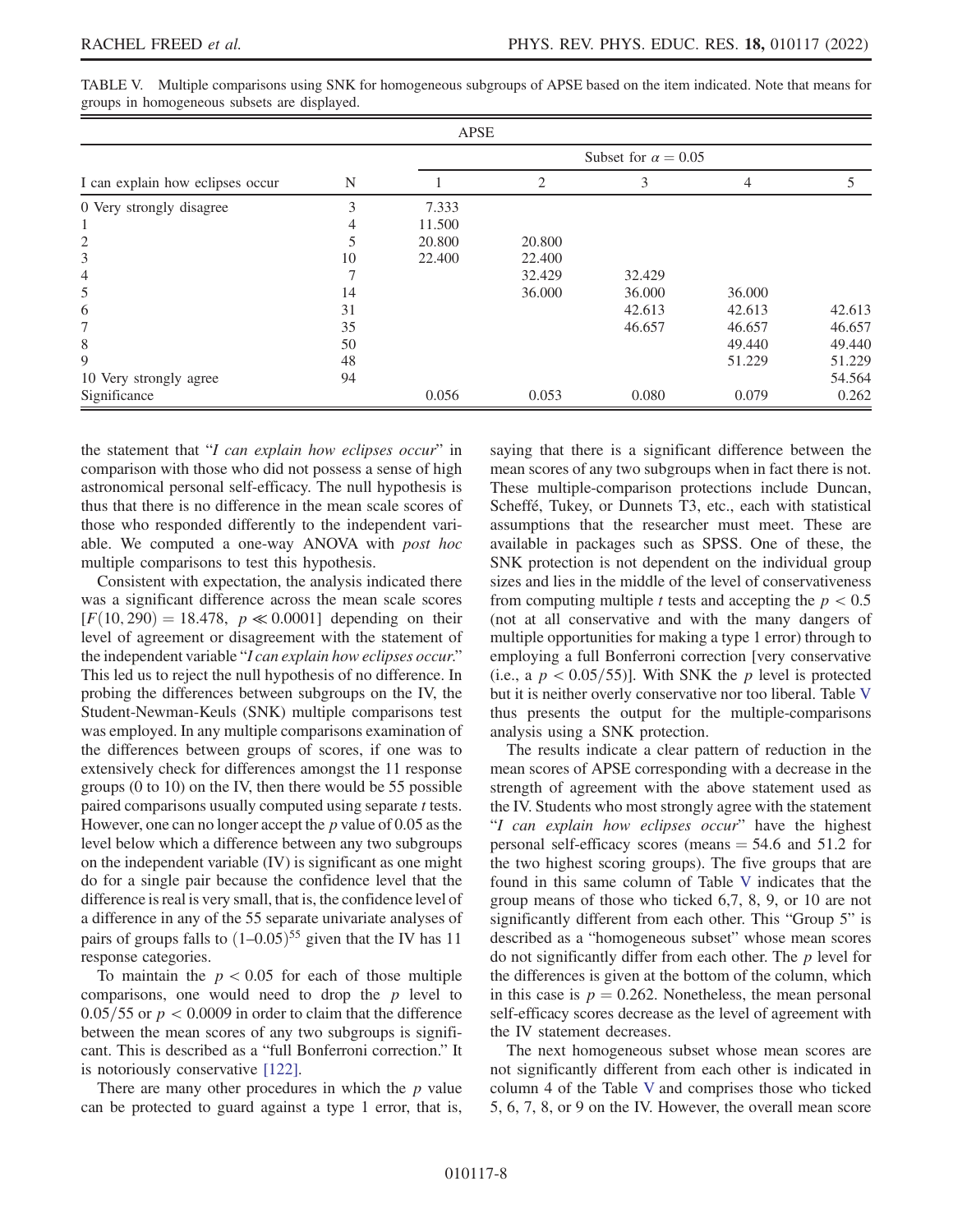| APSE                             |    |                            |                             |        |        |        |  |  |  |
|----------------------------------|----|----------------------------|-----------------------------|--------|--------|--------|--|--|--|
|                                  |    | Subset for $\alpha = 0.05$ |                             |        |        |        |  |  |  |
| I can explain how eclipses occur | N  |                            | $\mathcal{D}_{\mathcal{L}}$ | 3      | 4      |        |  |  |  |
| 0 Very strongly disagree         | 3  | 7.333                      |                             |        |        |        |  |  |  |
|                                  | 4  | 11.500                     |                             |        |        |        |  |  |  |
| $\overline{2}$                   |    | 20.800                     | 20,800                      |        |        |        |  |  |  |
| 3                                | 10 | 22.400                     | 22.400                      |        |        |        |  |  |  |
| $\overline{4}$                   |    |                            | 32.429                      | 32.429 |        |        |  |  |  |
| 5                                | 14 |                            | 36.000                      | 36.000 | 36.000 |        |  |  |  |
| 6                                | 31 |                            |                             | 42.613 | 42.613 | 42.613 |  |  |  |
| 7                                | 35 |                            |                             | 46.657 | 46.657 | 46.657 |  |  |  |
| 8                                | 50 |                            |                             |        | 49.440 | 49.440 |  |  |  |
| 9                                | 48 |                            |                             |        | 51.229 | 51.229 |  |  |  |
| 10 Very strongly agree           | 94 |                            |                             |        |        | 54.564 |  |  |  |
| Significance                     |    | 0.056                      | 0.053                       | 0.080  | 0.079  | 0.262  |  |  |  |

<span id="page-8-0"></span>TABLE V. Multiple comparisons using SNK for homogeneous subgroups of APSE based on the item indicated. Note that means for groups in homogeneous subsets are displayed.

the statement that "I can explain how eclipses occur" in comparison with those who did not possess a sense of high astronomical personal self-efficacy. The null hypothesis is thus that there is no difference in the mean scale scores of those who responded differently to the independent variable. We computed a one-way ANOVA with post hoc multiple comparisons to test this hypothesis.

Consistent with expectation, the analysis indicated there was a significant difference across the mean scale scores  $[F(10, 290) = 18.478, p \ll 0.0001]$  depending on their level of agreement or disagreement with the statement of the independent variable "I can explain how eclipses occur." This led us to reject the null hypothesis of no difference. In probing the differences between subgroups on the IV, the Student-Newman-Keuls (SNK) multiple comparisons test was employed. In any multiple comparisons examination of the differences between groups of scores, if one was to extensively check for differences amongst the 11 response groups (0 to 10) on the IV, then there would be 55 possible paired comparisons usually computed using separate t tests. However, one can no longer accept the  $p$  value of 0.05 as the level below which a difference between any two subgroups on the independent variable (IV) is significant as one might do for a single pair because the confidence level that the difference is real is very small, that is, the confidence level of a difference in any of the 55 separate univariate analyses of pairs of groups falls to  $(1-0.05)^{55}$  given that the IV has 11 response categories.

To maintain the  $p < 0.05$  for each of those multiple comparisons, one would need to drop the  $p$  level to  $0.05/55$  or  $p < 0.0009$  in order to claim that the difference between the mean scores of any two subgroups is significant. This is described as a "full Bonferroni correction." It is notoriously conservative [[122](#page-17-5)].

There are many other procedures in which the  $p$  value can be protected to guard against a type 1 error, that is, saying that there is a significant difference between the mean scores of any two subgroups when in fact there is not. These multiple-comparison protections include Duncan, Scheffé, Tukey, or Dunnets T3, etc., each with statistical assumptions that the researcher must meet. These are available in packages such as SPSS. One of these, the SNK protection is not dependent on the individual group sizes and lies in the middle of the level of conservativeness from computing multiple t tests and accepting the  $p < 0.5$ (not at all conservative and with the many dangers of multiple opportunities for making a type 1 error) through to employing a full Bonferroni correction [very conservative (i.e., a  $p < 0.05/55$ )]. With SNK the p level is protected but it is neither overly conservative nor too liberal. Table [V](#page-8-0) thus presents the output for the multiple-comparisons analysis using a SNK protection.

The results indicate a clear pattern of reduction in the mean scores of APSE corresponding with a decrease in the strength of agreement with the above statement used as the IV. Students who most strongly agree with the statement "I can explain how eclipses occur" have the highest personal self-efficacy scores (means  $=$  54.6 and 51.2 for the two highest scoring groups). The five groups that are found in this same column of Table [V](#page-8-0) indicates that the group means of those who ticked 6,7, 8, 9, or 10 are not significantly different from each other. This "Group 5" is described as a "homogeneous subset" whose mean scores do not significantly differ from each other. The  $p$  level for the differences is given at the bottom of the column, which in this case is  $p = 0.262$ . Nonetheless, the mean personal self-efficacy scores decrease as the level of agreement with the IV statement decreases.

The next homogeneous subset whose mean scores are not significantly different from each other is indicated in column 4 of the Table [V](#page-8-0) and comprises those who ticked 5, 6, 7, 8, or 9 on the IV. However, the overall mean score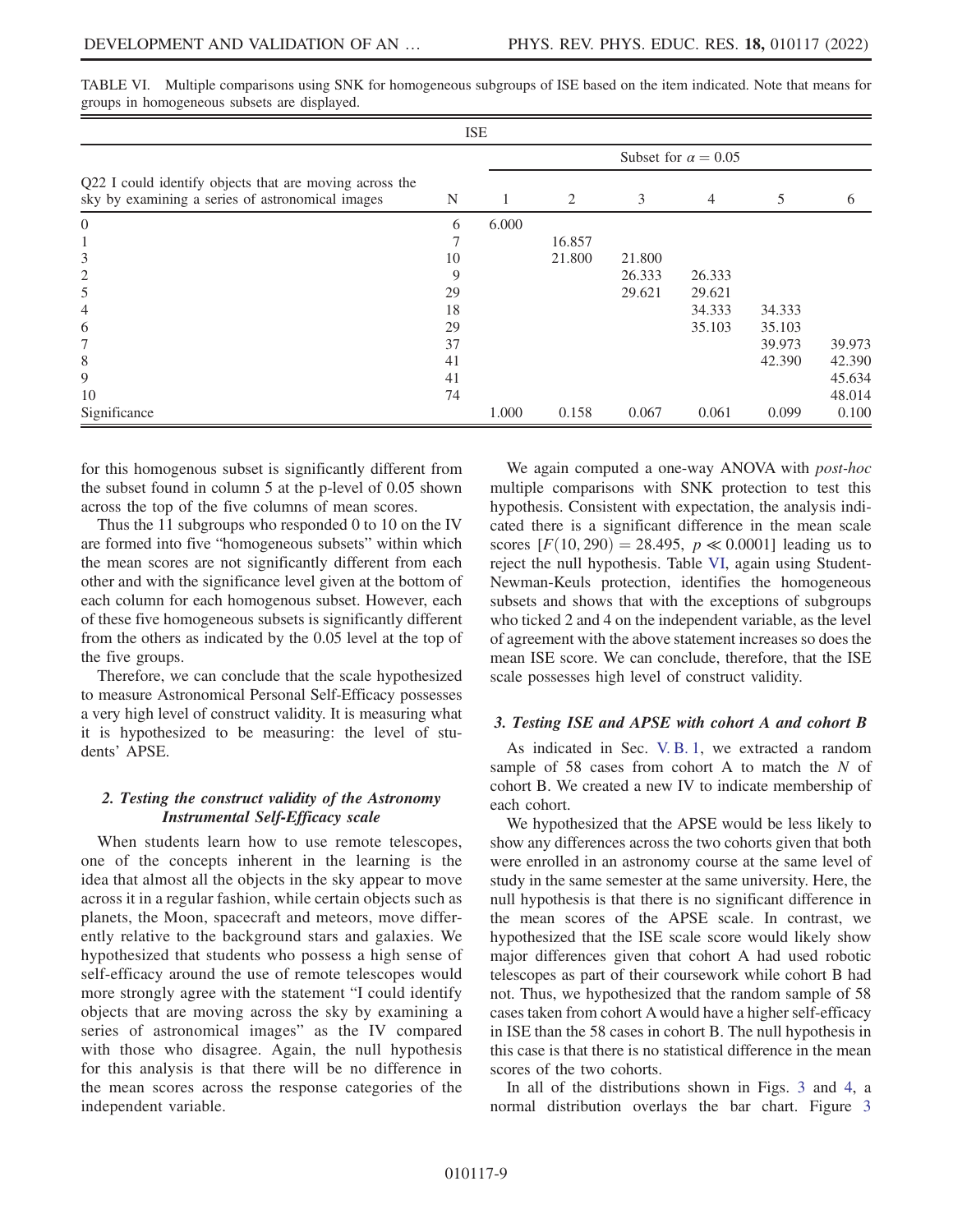| <b>ISE</b>                                                                                                  |                            |       |        |        |                |        |        |  |  |
|-------------------------------------------------------------------------------------------------------------|----------------------------|-------|--------|--------|----------------|--------|--------|--|--|
|                                                                                                             | Subset for $\alpha = 0.05$ |       |        |        |                |        |        |  |  |
| Q22 I could identify objects that are moving across the<br>sky by examining a series of astronomical images | N                          |       | 2      | 3      | $\overline{4}$ | 5      | 6      |  |  |
| $\overline{0}$                                                                                              | 6                          | 6.000 |        |        |                |        |        |  |  |
| 1                                                                                                           |                            |       | 16.857 |        |                |        |        |  |  |
| 3                                                                                                           | 10                         |       | 21.800 | 21.800 |                |        |        |  |  |
| $\overline{2}$                                                                                              | 9                          |       |        | 26.333 | 26.333         |        |        |  |  |
| 5                                                                                                           | 29                         |       |        | 29.621 | 29.621         |        |        |  |  |
| 4                                                                                                           | 18                         |       |        |        | 34.333         | 34.333 |        |  |  |
| 6                                                                                                           | 29                         |       |        |        | 35.103         | 35.103 |        |  |  |
| 7                                                                                                           | 37                         |       |        |        |                | 39.973 | 39.973 |  |  |
| 8                                                                                                           | 41                         |       |        |        |                | 42.390 | 42.390 |  |  |
| 9                                                                                                           | 41                         |       |        |        |                |        | 45.634 |  |  |
| 10                                                                                                          | 74                         |       |        |        |                |        | 48.014 |  |  |
| Significance                                                                                                |                            | 1.000 | 0.158  | 0.067  | 0.061          | 0.099  | 0.100  |  |  |

<span id="page-9-0"></span>TABLE VI. Multiple comparisons using SNK for homogeneous subgroups of ISE based on the item indicated. Note that means for groups in homogeneous subsets are displayed.

for this homogenous subset is significantly different from the subset found in column 5 at the p-level of 0.05 shown across the top of the five columns of mean scores.

Thus the 11 subgroups who responded 0 to 10 on the IV are formed into five "homogeneous subsets" within which the mean scores are not significantly different from each other and with the significance level given at the bottom of each column for each homogenous subset. However, each of these five homogeneous subsets is significantly different from the others as indicated by the 0.05 level at the top of the five groups.

Therefore, we can conclude that the scale hypothesized to measure Astronomical Personal Self-Efficacy possesses a very high level of construct validity. It is measuring what it is hypothesized to be measuring: the level of students' APSE.

## 2. Testing the construct validity of the Astronomy Instrumental Self-Efficacy scale

When students learn how to use remote telescopes, one of the concepts inherent in the learning is the idea that almost all the objects in the sky appear to move across it in a regular fashion, while certain objects such as planets, the Moon, spacecraft and meteors, move differently relative to the background stars and galaxies. We hypothesized that students who possess a high sense of self-efficacy around the use of remote telescopes would more strongly agree with the statement "I could identify objects that are moving across the sky by examining a series of astronomical images" as the IV compared with those who disagree. Again, the null hypothesis for this analysis is that there will be no difference in the mean scores across the response categories of the independent variable.

We again computed a one-way ANOVA with *post-hoc* multiple comparisons with SNK protection to test this hypothesis. Consistent with expectation, the analysis indicated there is a significant difference in the mean scale scores  $[F(10, 290) = 28.495, p \ll 0.0001]$  leading us to reject the null hypothesis. Table [VI](#page-9-0), again using Student-Newman-Keuls protection, identifies the homogeneous subsets and shows that with the exceptions of subgroups who ticked 2 and 4 on the independent variable, as the level of agreement with the above statement increases so does the mean ISE score. We can conclude, therefore, that the ISE scale possesses high level of construct validity.

## 3. Testing ISE and APSE with cohort A and cohort B

As indicated in Sec. [V. B. 1,](#page-5-1) we extracted a random sample of 58 cases from cohort A to match the  $N$  of cohort B. We created a new IV to indicate membership of each cohort.

We hypothesized that the APSE would be less likely to show any differences across the two cohorts given that both were enrolled in an astronomy course at the same level of study in the same semester at the same university. Here, the null hypothesis is that there is no significant difference in the mean scores of the APSE scale. In contrast, we hypothesized that the ISE scale score would likely show major differences given that cohort A had used robotic telescopes as part of their coursework while cohort B had not. Thus, we hypothesized that the random sample of 58 cases taken from cohort A would have a higher self-efficacy in ISE than the 58 cases in cohort B. The null hypothesis in this case is that there is no statistical difference in the mean scores of the two cohorts.

In all of the distributions shown in Figs. [3](#page-10-0) and [4,](#page-10-1) a normal distribution overlays the bar chart. Figure [3](#page-10-0)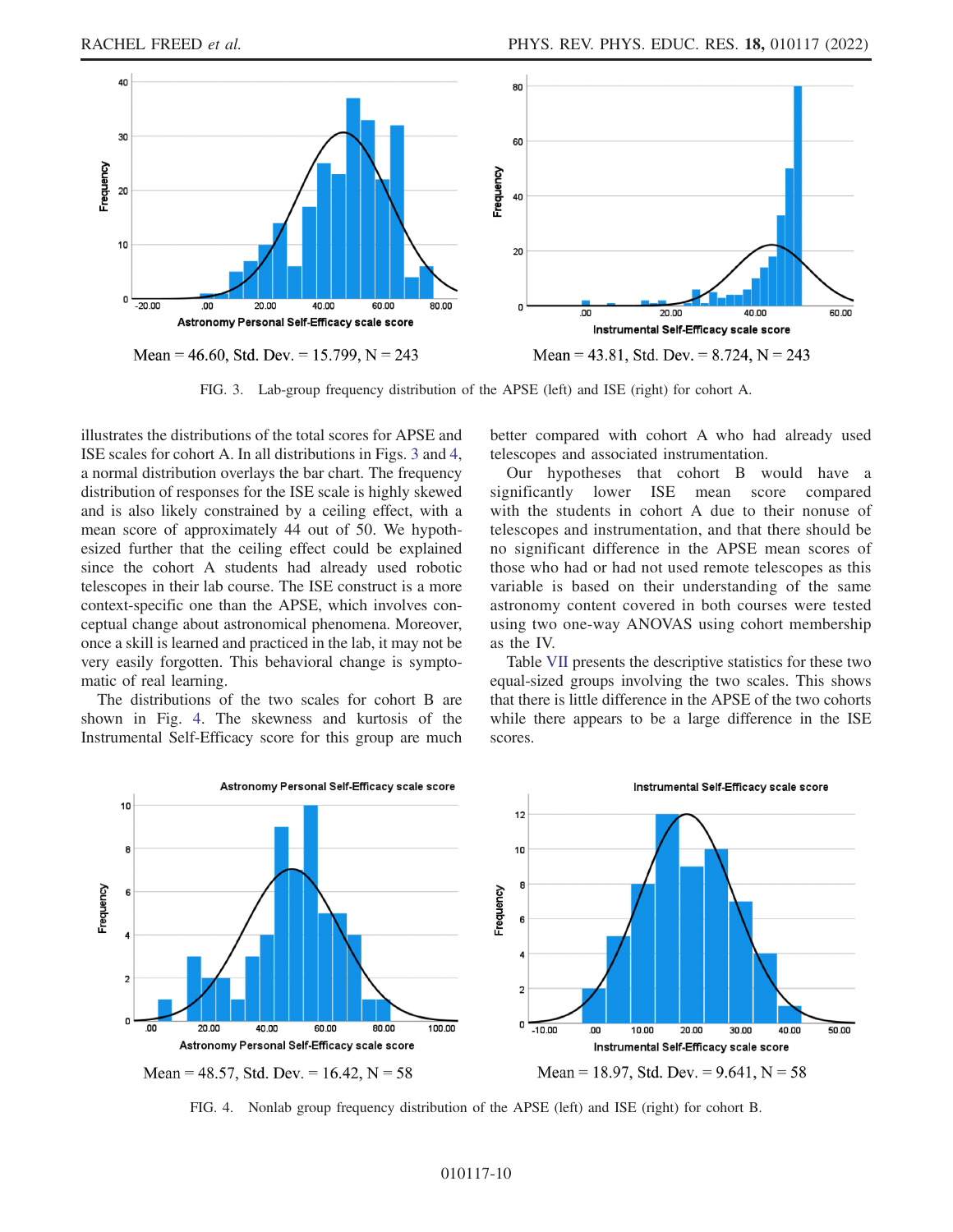<span id="page-10-0"></span>

FIG. 3. Lab-group frequency distribution of the APSE (left) and ISE (right) for cohort A.

illustrates the distributions of the total scores for APSE and ISE scales for cohort A. In all distributions in Figs. [3](#page-10-0) and [4](#page-10-1), a normal distribution overlays the bar chart. The frequency distribution of responses for the ISE scale is highly skewed and is also likely constrained by a ceiling effect, with a mean score of approximately 44 out of 50. We hypothesized further that the ceiling effect could be explained since the cohort A students had already used robotic telescopes in their lab course. The ISE construct is a more context-specific one than the APSE, which involves conceptual change about astronomical phenomena. Moreover, once a skill is learned and practiced in the lab, it may not be very easily forgotten. This behavioral change is symptomatic of real learning.

The distributions of the two scales for cohort B are shown in Fig. [4](#page-10-1). The skewness and kurtosis of the Instrumental Self-Efficacy score for this group are much better compared with cohort A who had already used telescopes and associated instrumentation.

Our hypotheses that cohort B would have a significantly lower ISE mean score compared with the students in cohort A due to their nonuse of telescopes and instrumentation, and that there should be no significant difference in the APSE mean scores of those who had or had not used remote telescopes as this variable is based on their understanding of the same astronomy content covered in both courses were tested using two one-way ANOVAS using cohort membership as the IV.

Table [VII](#page-11-0) presents the descriptive statistics for these two equal-sized groups involving the two scales. This shows that there is little difference in the APSE of the two cohorts while there appears to be a large difference in the ISE scores.

<span id="page-10-1"></span>

FIG. 4. Nonlab group frequency distribution of the APSE (left) and ISE (right) for cohort B.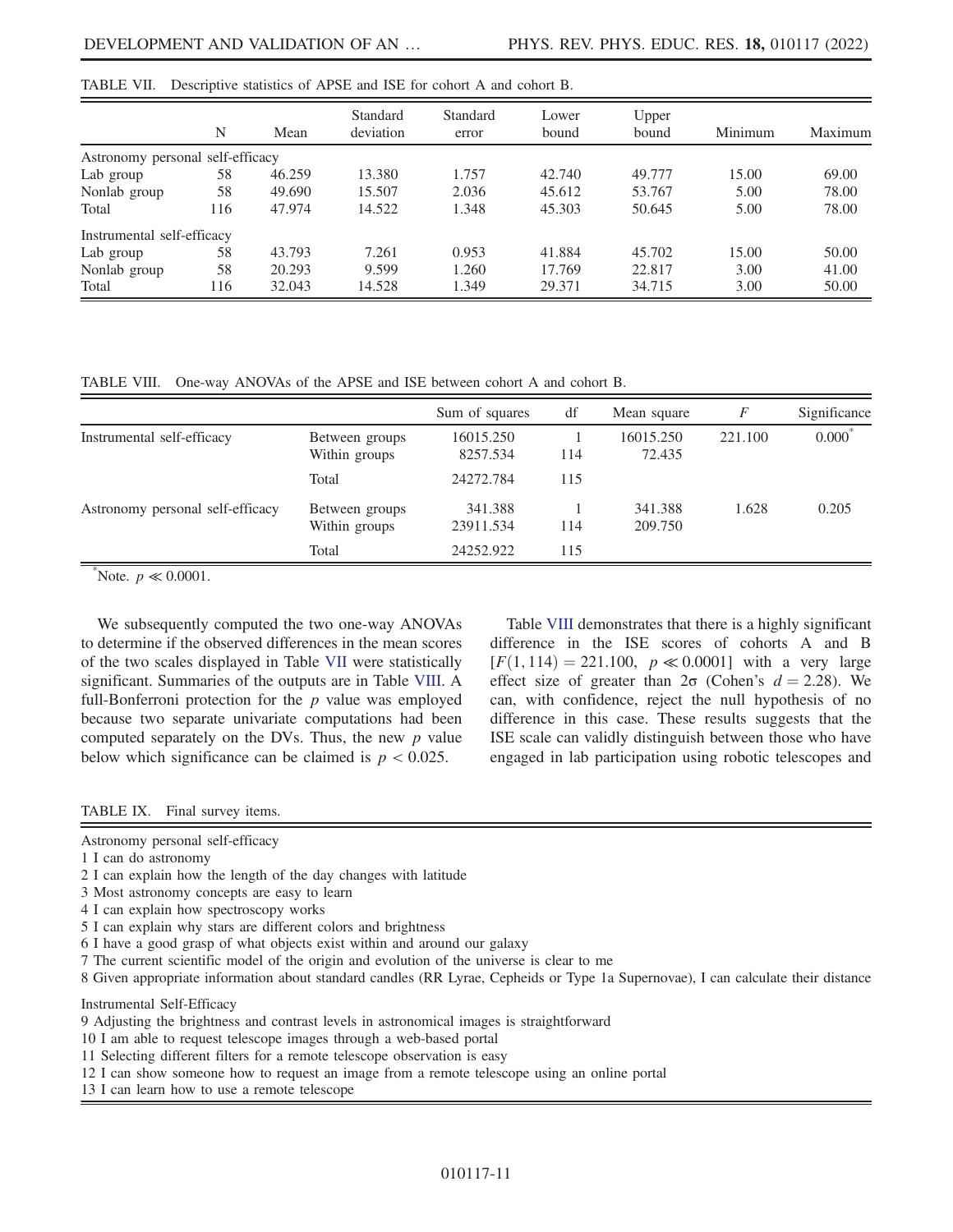|                                  | N   | Mean   | Standard<br>deviation | Standard<br>error | Lower<br>bound | Upper<br>bound | Minimum | Maximum |
|----------------------------------|-----|--------|-----------------------|-------------------|----------------|----------------|---------|---------|
| Astronomy personal self-efficacy |     |        |                       |                   |                |                |         |         |
| Lab group                        | 58  | 46.259 | 13.380                | 1.757             | 42.740         | 49.777         | 15.00   | 69.00   |
| Nonlab group                     | 58  | 49.690 | 15.507                | 2.036             | 45.612         | 53.767         | 5.00    | 78.00   |
| Total                            | 116 | 47.974 | 14.522                | 1.348             | 45.303         | 50.645         | 5.00    | 78.00   |
| Instrumental self-efficacy       |     |        |                       |                   |                |                |         |         |
| Lab group                        | 58  | 43.793 | 7.261                 | 0.953             | 41.884         | 45.702         | 15.00   | 50.00   |
| Nonlab group                     | 58  | 20.293 | 9.599                 | 1.260             | 17.769         | 22.817         | 3.00    | 41.00   |
| Total                            | 116 | 32.043 | 14.528                | 1.349             | 29.371         | 34.715         | 3.00    | 50.00   |

<span id="page-11-0"></span>TABLE VII. Descriptive statistics of APSE and ISE for cohort A and cohort B.

<span id="page-11-1"></span>TABLE VIII. One-way ANOVAs of the APSE and ISE between cohort A and cohort B.

|                                  |                                 | Sum of squares        | df  | Mean square         | F       | Significance |
|----------------------------------|---------------------------------|-----------------------|-----|---------------------|---------|--------------|
| Instrumental self-efficacy       | Between groups<br>Within groups | 16015.250<br>8257.534 | 114 | 16015.250<br>72.435 | 221.100 | $0.000*$     |
|                                  | Total                           | 24272.784             | 115 |                     |         |              |
| Astronomy personal self-efficacy | Between groups<br>Within groups | 341.388<br>23911.534  | 114 | 341.388<br>209.750  | 1.628   | 0.205        |
|                                  | Total                           | 24252.922             | 115 |                     |         |              |

\*Note.  $p \ll 0.0001$ .

We subsequently computed the two one-way ANOVAs to determine if the observed differences in the mean scores of the two scales displayed in Table [VII](#page-11-0) were statistically significant. Summaries of the outputs are in Table [VIII.](#page-11-1) A full-Bonferroni protection for the  $p$  value was employed because two separate univariate computations had been computed separately on the DVs. Thus, the new  $p$  value below which significance can be claimed is  $p < 0.025$ .

Table [VIII](#page-11-1) demonstrates that there is a highly significant difference in the ISE scores of cohorts A and B  $[F(1, 114) = 221.100, p \ll 0.0001]$  with a very large effect size of greater than  $2\sigma$  (Cohen's  $d = 2.28$ ). We can, with confidence, reject the null hypothesis of no difference in this case. These results suggests that the ISE scale can validly distinguish between those who have engaged in lab participation using robotic telescopes and

#### <span id="page-11-2"></span>TABLE IX. Final survey items.

Astronomy personal self-efficacy

- 1 I can do astronomy
- 2 I can explain how the length of the day changes with latitude
- 3 Most astronomy concepts are easy to learn
- 4 I can explain how spectroscopy works
- 5 I can explain why stars are different colors and brightness
- 6 I have a good grasp of what objects exist within and around our galaxy
- 7 The current scientific model of the origin and evolution of the universe is clear to me
- 8 Given appropriate information about standard candles (RR Lyrae, Cepheids or Type 1a Supernovae), I can calculate their distance

Instrumental Self-Efficacy

9 Adjusting the brightness and contrast levels in astronomical images is straightforward

10 I am able to request telescope images through a web-based portal

- 11 Selecting different filters for a remote telescope observation is easy
- 12 I can show someone how to request an image from a remote telescope using an online portal

13 I can learn how to use a remote telescope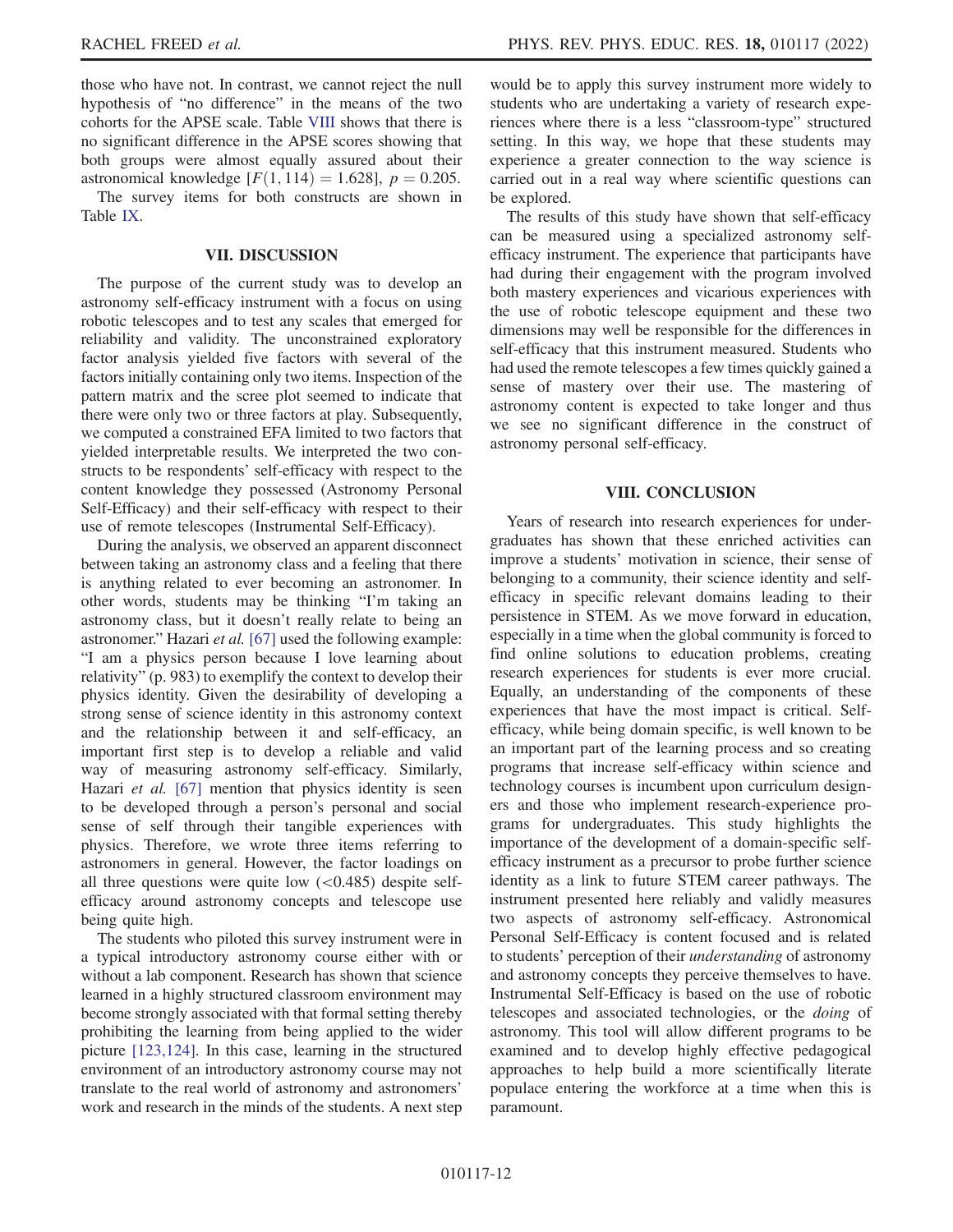those who have not. In contrast, we cannot reject the null hypothesis of "no difference" in the means of the two cohorts for the APSE scale. Table [VIII](#page-11-1) shows that there is no significant difference in the APSE scores showing that both groups were almost equally assured about their astronomical knowledge  $[F(1, 114) = 1.628]$ ,  $p = 0.205$ .

The survey items for both constructs are shown in Table [IX](#page-11-2).

## VII. DISCUSSION

The purpose of the current study was to develop an astronomy self-efficacy instrument with a focus on using robotic telescopes and to test any scales that emerged for reliability and validity. The unconstrained exploratory factor analysis yielded five factors with several of the factors initially containing only two items. Inspection of the pattern matrix and the scree plot seemed to indicate that there were only two or three factors at play. Subsequently, we computed a constrained EFA limited to two factors that yielded interpretable results. We interpreted the two constructs to be respondents' self-efficacy with respect to the content knowledge they possessed (Astronomy Personal Self-Efficacy) and their self-efficacy with respect to their use of remote telescopes (Instrumental Self-Efficacy).

During the analysis, we observed an apparent disconnect between taking an astronomy class and a feeling that there is anything related to ever becoming an astronomer. In other words, students may be thinking "I'm taking an astronomy class, but it doesn't really relate to being an astronomer." Hazari et al. [[67\]](#page-15-15) used the following example: "I am a physics person because I love learning about relativity" (p. 983) to exemplify the context to develop their physics identity. Given the desirability of developing a strong sense of science identity in this astronomy context and the relationship between it and self-efficacy, an important first step is to develop a reliable and valid way of measuring astronomy self-efficacy. Similarly, Hazari et al. [[67](#page-15-15)] mention that physics identity is seen to be developed through a person's personal and social sense of self through their tangible experiences with physics. Therefore, we wrote three items referring to astronomers in general. However, the factor loadings on all three questions were quite low  $( $0.485$ )$  despite selfefficacy around astronomy concepts and telescope use being quite high.

The students who piloted this survey instrument were in a typical introductory astronomy course either with or without a lab component. Research has shown that science learned in a highly structured classroom environment may become strongly associated with that formal setting thereby prohibiting the learning from being applied to the wider picture [\[123,](#page-17-6)[124](#page-17-7)]. In this case, learning in the structured environment of an introductory astronomy course may not translate to the real world of astronomy and astronomers' work and research in the minds of the students. A next step would be to apply this survey instrument more widely to students who are undertaking a variety of research experiences where there is a less "classroom-type" structured setting. In this way, we hope that these students may experience a greater connection to the way science is carried out in a real way where scientific questions can be explored.

The results of this study have shown that self-efficacy can be measured using a specialized astronomy selfefficacy instrument. The experience that participants have had during their engagement with the program involved both mastery experiences and vicarious experiences with the use of robotic telescope equipment and these two dimensions may well be responsible for the differences in self-efficacy that this instrument measured. Students who had used the remote telescopes a few times quickly gained a sense of mastery over their use. The mastering of astronomy content is expected to take longer and thus we see no significant difference in the construct of astronomy personal self-efficacy.

## VIII. CONCLUSION

Years of research into research experiences for undergraduates has shown that these enriched activities can improve a students' motivation in science, their sense of belonging to a community, their science identity and selfefficacy in specific relevant domains leading to their persistence in STEM. As we move forward in education, especially in a time when the global community is forced to find online solutions to education problems, creating research experiences for students is ever more crucial. Equally, an understanding of the components of these experiences that have the most impact is critical. Selfefficacy, while being domain specific, is well known to be an important part of the learning process and so creating programs that increase self-efficacy within science and technology courses is incumbent upon curriculum designers and those who implement research-experience programs for undergraduates. This study highlights the importance of the development of a domain-specific selfefficacy instrument as a precursor to probe further science identity as a link to future STEM career pathways. The instrument presented here reliably and validly measures two aspects of astronomy self-efficacy. Astronomical Personal Self-Efficacy is content focused and is related to students' perception of their understanding of astronomy and astronomy concepts they perceive themselves to have. Instrumental Self-Efficacy is based on the use of robotic telescopes and associated technologies, or the doing of astronomy. This tool will allow different programs to be examined and to develop highly effective pedagogical approaches to help build a more scientifically literate populace entering the workforce at a time when this is paramount.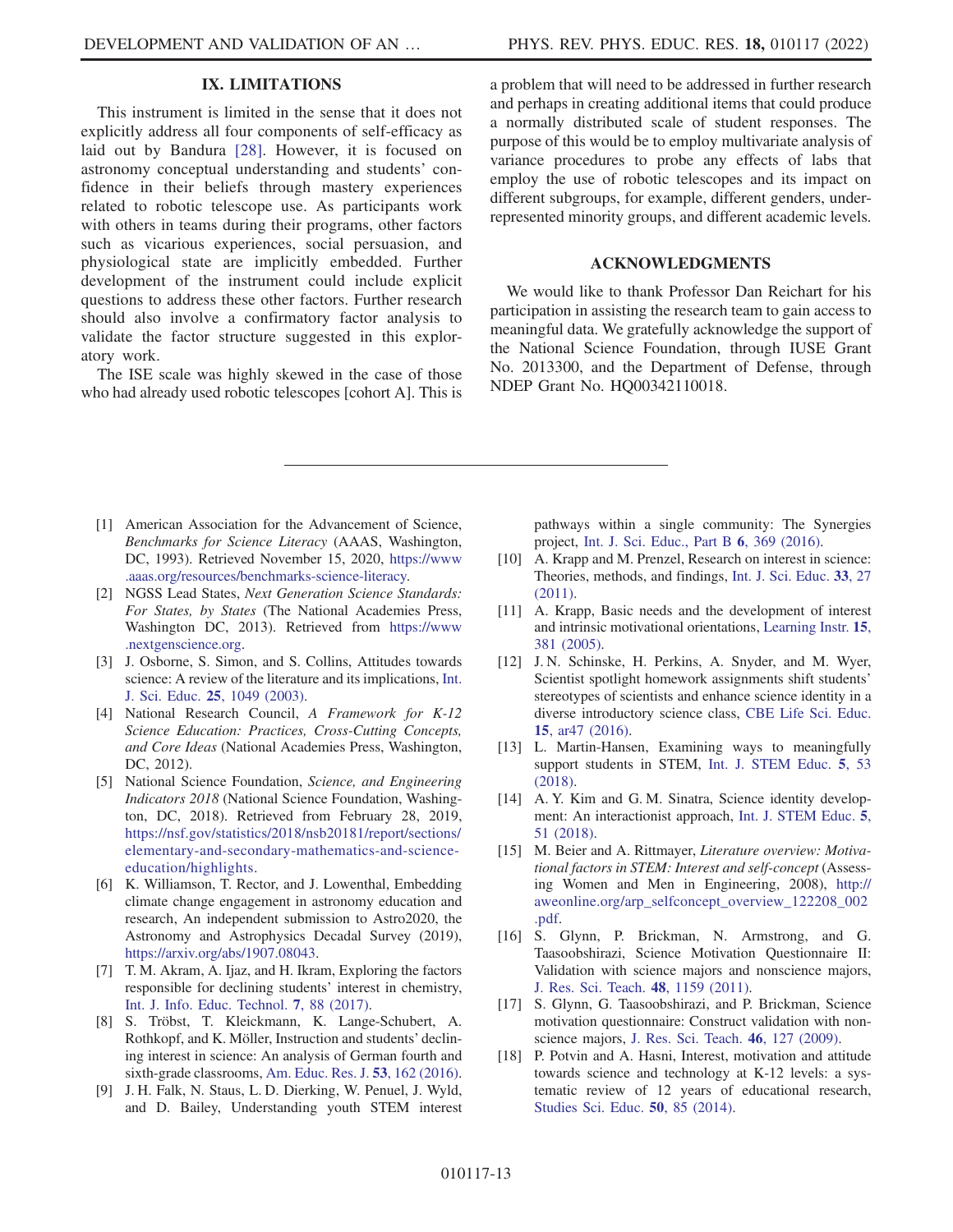## IX. LIMITATIONS

This instrument is limited in the sense that it does not explicitly address all four components of self-efficacy as laid out by Bandura [\[28](#page-14-7)]. However, it is focused on astronomy conceptual understanding and students' confidence in their beliefs through mastery experiences related to robotic telescope use. As participants work with others in teams during their programs, other factors such as vicarious experiences, social persuasion, and physiological state are implicitly embedded. Further development of the instrument could include explicit questions to address these other factors. Further research should also involve a confirmatory factor analysis to validate the factor structure suggested in this exploratory work.

The ISE scale was highly skewed in the case of those who had already used robotic telescopes [cohort A]. This is a problem that will need to be addressed in further research and perhaps in creating additional items that could produce a normally distributed scale of student responses. The purpose of this would be to employ multivariate analysis of variance procedures to probe any effects of labs that employ the use of robotic telescopes and its impact on different subgroups, for example, different genders, underrepresented minority groups, and different academic levels.

## ACKNOWLEDGMENTS

We would like to thank Professor Dan Reichart for his participation in assisting the research team to gain access to meaningful data. We gratefully acknowledge the support of the National Science Foundation, through IUSE Grant No. 2013300, and the Department of Defense, through NDEP Grant No. HQ00342110018.

- <span id="page-13-0"></span>[1] American Association for the Advancement of Science, Benchmarks for Science Literacy (AAAS, Washington, DC, 1993). Retrieved November 15, 2020, [https://www](https://www.aaas.org/resources/benchmarks-science-literacy) [.aaas.org/resources/benchmarks-science-literacy.](https://www.aaas.org/resources/benchmarks-science-literacy)
- <span id="page-13-1"></span>[2] NGSS Lead States, Next Generation Science Standards: For States, by States (The National Academies Press, Washington DC, 2013). Retrieved from [https://www](https://www.nextgenscience.org) [.nextgenscience.org](https://www.nextgenscience.org).
- <span id="page-13-2"></span>[3] J. Osborne, S. Simon, and S. Collins, Attitudes towards science: A review of the literature and its implications, [Int.](https://doi.org/10.1080/0950069032000032199) J. Sci. Educ. 25[, 1049 \(2003\)](https://doi.org/10.1080/0950069032000032199).
- [4] National Research Council, A Framework for K-12 Science Education: Practices, Cross-Cutting Concepts, and Core Ideas (National Academies Press, Washington, DC, 2012).
- <span id="page-13-3"></span>[5] National Science Foundation, Science, and Engineering Indicators 2018 (National Science Foundation, Washington, DC, 2018). Retrieved from February 28, 2019, [https://nsf.gov/statistics/2018/nsb20181/report/sections/](https://nsf.gov/statistics/2018/nsb20181/report/sections/elementary-and-secondary-mathematics-and-science-education/highlights) [elementary-and-secondary-mathematics-and-science](https://nsf.gov/statistics/2018/nsb20181/report/sections/elementary-and-secondary-mathematics-and-science-education/highlights)[education/highlights](https://nsf.gov/statistics/2018/nsb20181/report/sections/elementary-and-secondary-mathematics-and-science-education/highlights).
- <span id="page-13-4"></span>[6] K. Williamson, T. Rector, and J. Lowenthal, Embedding climate change engagement in astronomy education and research, An independent submission to Astro2020, the Astronomy and Astrophysics Decadal Survey (2019), [https://arxiv.org/abs/1907.08043.](https://arxiv.org/abs/1907.08043)
- <span id="page-13-5"></span>[7] T. M. Akram, A. Ijaz, and H. Ikram, Exploring the factors responsible for declining students' interest in chemistry, [Int. J. Info. Educ. Technol.](https://doi.org/10.18178/ijiet.2017.7.2.847) 7, 88 (2017).
- [8] S. Tröbst, T. Kleickmann, K. Lange-Schubert, A. Rothkopf, and K. Möller, Instruction and students' declining interest in science: An analysis of German fourth and sixth-grade classrooms, [Am. Educ. Res. J.](https://doi.org/10.3102/0002831215618662) 53, 162 (2016).
- [9] J. H. Falk, N. Staus, L. D. Dierking, W. Penuel, J. Wyld, and D. Bailey, Understanding youth STEM interest

pathways within a single community: The Synergies project, [Int. J. Sci. Educ., Part B](https://doi.org/10.1080/21548455.2015.1093670) 6, 369 (2016).

- <span id="page-13-6"></span>[10] A. Krapp and M. Prenzel, Research on interest in science: Theories, methods, and findings, [Int. J. Sci. Educ.](https://doi.org/10.1080/09500693.2010.518645) 33, 27 [\(2011\).](https://doi.org/10.1080/09500693.2010.518645)
- <span id="page-13-7"></span>[11] A. Krapp, Basic needs and the development of interest and intrinsic motivational orientations, [Learning Instr.](https://doi.org/10.1016/j.learninstruc.2005.07.007) 15, [381 \(2005\)](https://doi.org/10.1016/j.learninstruc.2005.07.007).
- [12] J. N. Schinske, H. Perkins, A. Snyder, and M. Wyer, Scientist spotlight homework assignments shift students' stereotypes of scientists and enhance science identity in a diverse introductory science class, [CBE Life Sci. Educ.](https://doi.org/10.1187/cbe.16-01-0002) 15[, ar47 \(2016\).](https://doi.org/10.1187/cbe.16-01-0002)
- [13] L. Martin-Hansen, Examining ways to meaningfully support students in STEM, [Int. J. STEM Educ.](https://doi.org/10.1186/s40594-018-0150-3) 5, 53 [\(2018\).](https://doi.org/10.1186/s40594-018-0150-3)
- <span id="page-13-8"></span>[14] A. Y. Kim and G. M. Sinatra, Science identity development: An interactionist approach, [Int. J. STEM Educ.](https://doi.org/10.1186/s40594-018-0149-9) 5, [51 \(2018\)](https://doi.org/10.1186/s40594-018-0149-9).
- <span id="page-13-9"></span>[15] M. Beier and A. Rittmayer, *Literature overview: Motiva*tional factors in STEM: Interest and self-concept (Assessing Women and Men in Engineering, 2008), [http://](http://aweonline.org/arp_selfconcept_overview_122208_002.pdf) [aweonline.org/arp\\_selfconcept\\_overview\\_122208\\_002](http://aweonline.org/arp_selfconcept_overview_122208_002.pdf) [.pdf.](http://aweonline.org/arp_selfconcept_overview_122208_002.pdf)
- [16] S. Glynn, P. Brickman, N. Armstrong, and G. Taasoobshirazi, Science Motivation Questionnaire II: Validation with science majors and nonscience majors, [J. Res. Sci. Teach.](https://doi.org/10.1002/tea.20442) 48, 1159 (2011).
- [17] S. Glynn, G. Taasoobshirazi, and P. Brickman, Science motivation questionnaire: Construct validation with nonscience majors, [J. Res. Sci. Teach.](https://doi.org/10.1002/tea.20267) 46, 127 (2009).
- <span id="page-13-10"></span>[18] P. Potvin and A. Hasni, Interest, motivation and attitude towards science and technology at K-12 levels: a systematic review of 12 years of educational research, [Studies Sci. Educ.](https://doi.org/10.1080/03057267.2014.881626) 50, 85 (2014).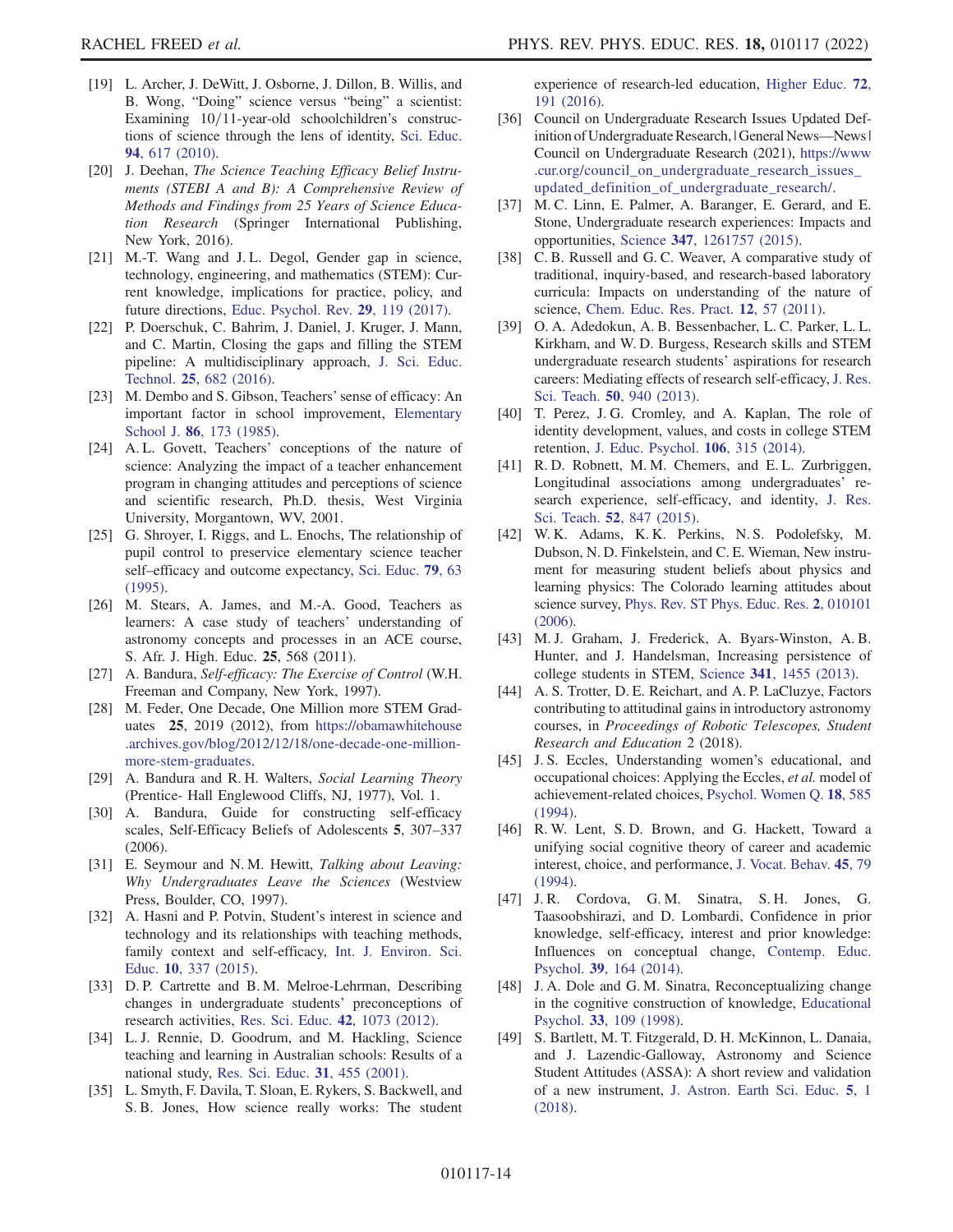- <span id="page-14-0"></span>[19] L. Archer, J. DeWitt, J. Osborne, J. Dillon, B. Willis, and B. Wong, "Doing" science versus "being" a scientist: Examining  $10/11$ -year-old schoolchildren's constructions of science through the lens of identity, [Sci. Educ.](https://doi.org/10.1002/sce.20399) 94[, 617 \(2010\)](https://doi.org/10.1002/sce.20399).
- <span id="page-14-1"></span>[20] J. Deehan, The Science Teaching Efficacy Belief Instruments (STEBI A and B): A Comprehensive Review of Methods and Findings from 25 Years of Science Education Research (Springer International Publishing, New York, 2016).
- <span id="page-14-2"></span>[21] M.-T. Wang and J.L. Degol, Gender gap in science, technology, engineering, and mathematics (STEM): Current knowledge, implications for practice, policy, and future directions, [Educ. Psychol. Rev.](https://doi.org/10.1007/s10648-015-9355-x) 29, 119 (2017).
- <span id="page-14-3"></span>[22] P. Doerschuk, C. Bahrim, J. Daniel, J. Kruger, J. Mann, and C. Martin, Closing the gaps and filling the STEM pipeline: A multidisciplinary approach, [J. Sci. Educ.](https://doi.org/10.1007/s10956-016-9622-8) Technol. 25[, 682 \(2016\)](https://doi.org/10.1007/s10956-016-9622-8).
- <span id="page-14-4"></span>[23] M. Dembo and S. Gibson, Teachers' sense of efficacy: An important factor in school improvement, [Elementary](https://doi.org/10.1086/461441) School J. 86[, 173 \(1985\)](https://doi.org/10.1086/461441).
- [24] A.L. Govett, Teachers' conceptions of the nature of science: Analyzing the impact of a teacher enhancement program in changing attitudes and perceptions of science and scientific research, Ph.D. thesis, West Virginia University, Morgantown, WV, 2001.
- [25] G. Shroyer, I. Riggs, and L. Enochs, The relationship of pupil control to preservice elementary science teacher self–efficacy and outcome expectancy, [Sci. Educ.](https://doi.org/10.1002/sce.3730790105) 79, 63 [\(1995\).](https://doi.org/10.1002/sce.3730790105)
- <span id="page-14-5"></span>[26] M. Stears, A. James, and M.-A. Good, Teachers as learners: A case study of teachers' understanding of astronomy concepts and processes in an ACE course, S. Afr. J. High. Educ. 25, 568 (2011).
- <span id="page-14-6"></span>[27] A. Bandura, Self-efficacy: The Exercise of Control (W.H. Freeman and Company, New York, 1997).
- <span id="page-14-7"></span>[28] M. Feder, One Decade, One Million more STEM Graduates 25, 2019 (2012), from [https://obamawhitehouse](https://obamawhitehouse.archives.gov/blog/2012/12/18/one-decade-one-million-more-stem-graduates) [.archives.gov/blog/2012/12/18/one-decade-one-million](https://obamawhitehouse.archives.gov/blog/2012/12/18/one-decade-one-million-more-stem-graduates)[more-stem-graduates.](https://obamawhitehouse.archives.gov/blog/2012/12/18/one-decade-one-million-more-stem-graduates)
- <span id="page-14-8"></span>[29] A. Bandura and R. H. Walters, Social Learning Theory (Prentice- Hall Englewood Cliffs, NJ, 1977), Vol. 1.
- <span id="page-14-9"></span>[30] A. Bandura, Guide for constructing self-efficacy scales, Self-Efficacy Beliefs of Adolescents 5, 307–337 (2006).
- <span id="page-14-10"></span>[31] E. Seymour and N. M. Hewitt, Talking about Leaving: Why Undergraduates Leave the Sciences (Westview Press, Boulder, CO, 1997).
- <span id="page-14-11"></span>[32] A. Hasni and P. Potvin, Student's interest in science and technology and its relationships with teaching methods, family context and self-efficacy, [Int. J. Environ. Sci.](https://doi.org/10.12973/ijese.2015.249a) Educ. 10[, 337 \(2015\).](https://doi.org/10.12973/ijese.2015.249a)
- <span id="page-14-12"></span>[33] D. P. Cartrette and B. M. Melroe-Lehrman, Describing changes in undergraduate students' preconceptions of research activities, [Res. Sci. Educ.](https://doi.org/10.1007/s11165-011-9235-4) 42, 1073 (2012).
- [34] L. J. Rennie, D. Goodrum, and M. Hackling, Science teaching and learning in Australian schools: Results of a national study, [Res. Sci. Educ.](https://doi.org/10.1023/A:1013171905815) 31, 455 (2001).
- <span id="page-14-13"></span>[35] L. Smyth, F. Davila, T. Sloan, E. Rykers, S. Backwell, and S. B. Jones, How science really works: The student

experience of research-led education, [Higher Educ.](https://doi.org/10.1007/s10734-015-9945-z) 72, [191 \(2016\)](https://doi.org/10.1007/s10734-015-9945-z).

- <span id="page-14-14"></span>[36] Council on Undergraduate Research Issues Updated Definition of Undergraduate Research, | General News---News | Council on Undergraduate Research (2021), [https://www](https://www.cur.org/council_on_undergraduate_research_issues_updated_definition_of_undergraduate_research/) [.cur.org/council\\_on\\_undergraduate\\_research\\_issues\\_](https://www.cur.org/council_on_undergraduate_research_issues_updated_definition_of_undergraduate_research/) [updated\\_definition\\_of\\_undergraduate\\_research/](https://www.cur.org/council_on_undergraduate_research_issues_updated_definition_of_undergraduate_research/).
- <span id="page-14-15"></span>[37] M. C. Linn, E. Palmer, A. Baranger, E. Gerard, and E. Stone, Undergraduate research experiences: Impacts and opportunities, Science 347[, 1261757 \(2015\)](https://doi.org/10.1126/science.1261757).
- <span id="page-14-16"></span>[38] C. B. Russell and G. C. Weaver, A comparative study of traditional, inquiry-based, and research-based laboratory curricula: Impacts on understanding of the nature of science, [Chem. Educ. Res. Pract.](https://doi.org/10.1039/C1RP90008K) 12, 57 (2011).
- <span id="page-14-17"></span>[39] O. A. Adedokun, A. B. Bessenbacher, L. C. Parker, L. L. Kirkham, and W. D. Burgess, Research skills and STEM undergraduate research students' aspirations for research careers: Mediating effects of research self-efficacy, [J. Res.](https://doi.org/10.1002/tea.21102) Sci. Teach. 50[, 940 \(2013\)](https://doi.org/10.1002/tea.21102).
- <span id="page-14-26"></span>[40] T. Perez, J. G. Cromley, and A. Kaplan, The role of identity development, values, and costs in college STEM retention, [J. Educ. Psychol.](https://doi.org/10.1037/a0034027) 106, 315 (2014).
- <span id="page-14-18"></span>[41] R.D. Robnett, M.M. Chemers, and E.L. Zurbriggen, Longitudinal associations among undergraduates' research experience, self-efficacy, and identity, [J. Res.](https://doi.org/10.1002/tea.21221) Sci. Teach. 52[, 847 \(2015\)](https://doi.org/10.1002/tea.21221).
- <span id="page-14-19"></span>[42] W. K. Adams, K. K. Perkins, N. S. Podolefsky, M. Dubson, N. D. Finkelstein, and C. E. Wieman, New instrument for measuring student beliefs about physics and learning physics: The Colorado learning attitudes about science survey, [Phys. Rev. ST Phys. Educ. Res.](https://doi.org/10.1103/PhysRevSTPER.2.010101) 2, 010101 [\(2006\)](https://doi.org/10.1103/PhysRevSTPER.2.010101).
- <span id="page-14-27"></span>[43] M. J. Graham, J. Frederick, A. Byars-Winston, A. B. Hunter, and J. Handelsman, Increasing persistence of college students in STEM, Science 341[, 1455 \(2013\).](https://doi.org/10.1126/science.1240487)
- <span id="page-14-20"></span>[44] A. S. Trotter, D. E. Reichart, and A. P. LaCluzye, Factors contributing to attitudinal gains in introductory astronomy courses, in Proceedings of Robotic Telescopes, Student Research and Education 2 (2018).
- <span id="page-14-21"></span>[45] J. S. Eccles, Understanding women's educational, and occupational choices: Applying the Eccles, et al. model of achievement-related choices, [Psychol. Women Q.](https://doi.org/10.1111/j.1471-6402.1994.tb01049.x) 18, 585 [\(1994\).](https://doi.org/10.1111/j.1471-6402.1994.tb01049.x)
- <span id="page-14-22"></span>[46] R. W. Lent, S. D. Brown, and G. Hackett, Toward a unifying social cognitive theory of career and academic interest, choice, and performance, [J. Vocat. Behav.](https://doi.org/10.1006/jvbe.1994.1027) 45, 79 [\(1994\).](https://doi.org/10.1006/jvbe.1994.1027)
- <span id="page-14-23"></span>[47] J. R. Cordova, G. M. Sinatra, S. H. Jones, G. Taasoobshirazi, and D. Lombardi, Confidence in prior knowledge, self-efficacy, interest and prior knowledge: Influences on conceptual change, [Contemp. Educ.](https://doi.org/10.1016/j.cedpsych.2014.03.006) Psychol. 39[, 164 \(2014\)](https://doi.org/10.1016/j.cedpsych.2014.03.006).
- <span id="page-14-24"></span>[48] J. A. Dole and G. M. Sinatra, Reconceptualizing change in the cognitive construction of knowledge, [Educational](https://doi.org/10.1080/00461520.1998.9653294) Psychol. 33[, 109 \(1998\)](https://doi.org/10.1080/00461520.1998.9653294).
- <span id="page-14-25"></span>[49] S. Bartlett, M. T. Fitzgerald, D. H. McKinnon, L. Danaia, and J. Lazendic-Galloway, Astronomy and Science Student Attitudes (ASSA): A short review and validation of a new instrument, [J. Astron. Earth Sci. Educ.](https://doi.org/10.19030/jaese.v5i1.10190) 5, 1 [\(2018\).](https://doi.org/10.19030/jaese.v5i1.10190)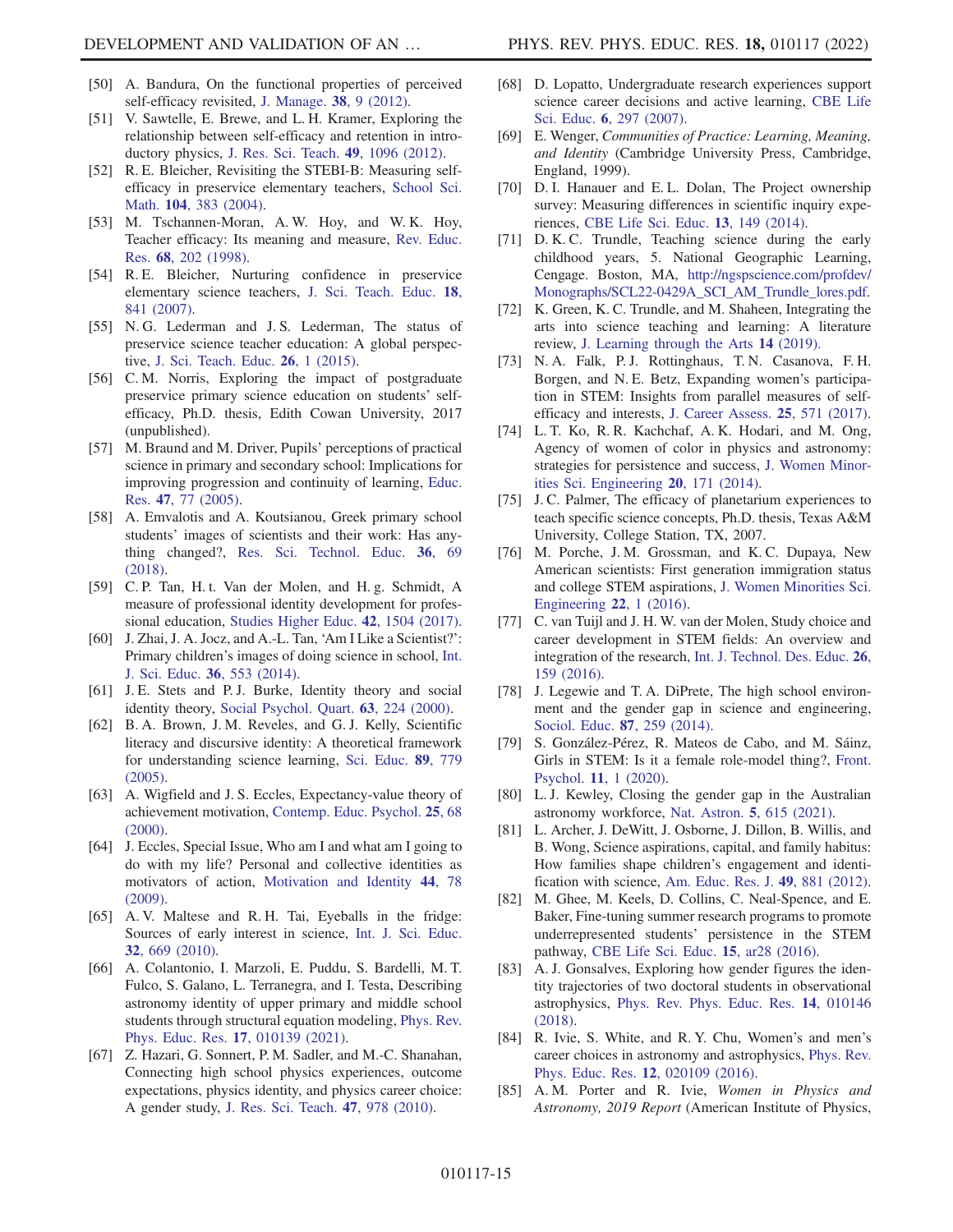- <span id="page-15-0"></span>[50] A. Bandura, On the functional properties of perceived self-efficacy revisited, [J. Manage.](https://doi.org/10.1177/0149206311410606) 38, 9 (2012).
- <span id="page-15-1"></span>[51] V. Sawtelle, E. Brewe, and L. H. Kramer, Exploring the relationship between self-efficacy and retention in introductory physics, [J. Res. Sci. Teach.](https://doi.org/10.1002/tea.21050) 49, 1096 (2012).
- <span id="page-15-2"></span>[52] R. E. Bleicher, Revisiting the STEBI-B: Measuring selfefficacy in preservice elementary teachers, [School Sci.](https://doi.org/10.1111/j.1949-8594.2004.tb18004.x) Math. 104[, 383 \(2004\).](https://doi.org/10.1111/j.1949-8594.2004.tb18004.x)
- <span id="page-15-3"></span>[53] M. Tschannen-Moran, A.W. Hoy, and W.K. Hoy, Teacher efficacy: Its meaning and measure, [Rev. Educ.](https://doi.org/10.3102/00346543068002202) Res. 68[, 202 \(1998\)](https://doi.org/10.3102/00346543068002202).
- <span id="page-15-4"></span>[54] R.E. Bleicher, Nurturing confidence in preservice elementary science teachers, [J. Sci. Teach. Educ.](https://doi.org/10.1007/s10972-007-9067-2) 18, [841 \(2007\)](https://doi.org/10.1007/s10972-007-9067-2).
- <span id="page-15-5"></span>[55] N. G. Lederman and J. S. Lederman, The status of preservice science teacher education: A global perspective, [J. Sci. Teach. Educ.](https://doi.org/10.1007/s10972-015-9422-7) 26, 1 (2015).
- <span id="page-15-6"></span>[56] C.M. Norris, Exploring the impact of postgraduate preservice primary science education on students' selfefficacy, Ph.D. thesis, Edith Cowan University, 2017 (unpublished).
- <span id="page-15-7"></span>[57] M. Braund and M. Driver, Pupils' perceptions of practical science in primary and secondary school: Implications for improving progression and continuity of learning, [Educ.](https://doi.org/10.1080/0013188042000337578) Res. 47[, 77 \(2005\).](https://doi.org/10.1080/0013188042000337578)
- [58] A. Emvalotis and A. Koutsianou, Greek primary school students' images of scientists and their work: Has anything changed?, [Res. Sci. Technol. Educ.](https://doi.org/10.1080/02635143.2017.1366899) 36, 69 [\(2018\).](https://doi.org/10.1080/02635143.2017.1366899)
- [59] C. P. Tan, H. t. Van der Molen, and H. g. Schmidt, A measure of professional identity development for professional education, [Studies Higher Educ.](https://doi.org/10.1080/03075079.2015.1111322) 42, 1504 (2017).
- <span id="page-15-8"></span>[60] J. Zhai, J. A. Jocz, and A.-L. Tan, 'Am I Like a Scientist?': Primary children's images of doing science in school, [Int.](https://doi.org/10.1080/09500693.2013.791958) [J. Sci. Educ.](https://doi.org/10.1080/09500693.2013.791958) 36, 553 (2014).
- <span id="page-15-9"></span>[61] J. E. Stets and P. J. Burke, Identity theory and social identity theory, [Social Psychol. Quart.](https://doi.org/10.2307/2695870) 63, 224 (2000).
- <span id="page-15-10"></span>[62] B. A. Brown, J. M. Reveles, and G. J. Kelly, Scientific literacy and discursive identity: A theoretical framework for understanding science learning, [Sci. Educ.](https://doi.org/10.1002/sce.20069) 89, 779 [\(2005\).](https://doi.org/10.1002/sce.20069)
- <span id="page-15-11"></span>[63] A. Wigfield and J. S. Eccles, Expectancy-value theory of achievement motivation, [Contemp. Educ. Psychol.](https://doi.org/10.1006/ceps.1999.1015) 25, 68 [\(2000\).](https://doi.org/10.1006/ceps.1999.1015)
- <span id="page-15-12"></span>[64] J. Eccles, Special Issue, Who am I and what am I going to do with my life? Personal and collective identities as motivators of action, [Motivation and Identity](https://doi.org/10.1080/00461520902832368) 44, 78 [\(2009\).](https://doi.org/10.1080/00461520902832368)
- <span id="page-15-13"></span>[65] A. V. Maltese and R. H. Tai, Eyeballs in the fridge: Sources of early interest in science, [Int. J. Sci. Educ.](https://doi.org/10.1080/09500690902792385) 32[, 669 \(2010\)](https://doi.org/10.1080/09500690902792385).
- <span id="page-15-14"></span>[66] A. Colantonio, I. Marzoli, E. Puddu, S. Bardelli, M. T. Fulco, S. Galano, L. Terranegra, and I. Testa, Describing astronomy identity of upper primary and middle school students through structural equation modeling, [Phys. Rev.](https://doi.org/10.1103/PhysRevPhysEducRes.17.010139) [Phys. Educ. Res.](https://doi.org/10.1103/PhysRevPhysEducRes.17.010139) 17, 010139 (2021).
- <span id="page-15-15"></span>[67] Z. Hazari, G. Sonnert, P. M. Sadler, and M.-C. Shanahan, Connecting high school physics experiences, outcome expectations, physics identity, and physics career choice: A gender study, [J. Res. Sci. Teach.](https://doi.org/10.1002/tea.20363) 47, 978 (2010).
- <span id="page-15-16"></span>[68] D. Lopatto, Undergraduate research experiences support science career decisions and active learning, [CBE Life](https://doi.org/10.1187/cbe.07-06-0039) Sci. Educ. 6[, 297 \(2007\)](https://doi.org/10.1187/cbe.07-06-0039).
- <span id="page-15-17"></span>[69] E. Wenger, Communities of Practice: Learning, Meaning, and Identity (Cambridge University Press, Cambridge, England, 1999).
- <span id="page-15-18"></span>[70] D. I. Hanauer and E. L. Dolan, The Project ownership survey: Measuring differences in scientific inquiry experiences, [CBE Life Sci. Educ.](https://doi.org/10.1187/cbe.13-06-0123) 13, 149 (2014).
- <span id="page-15-19"></span>[71] D. K. C. Trundle, Teaching science during the early childhood years, 5. National Geographic Learning, Cengage. Boston, MA, [http://ngspscience.com/profdev/](http://ngspscience.com/profdev/Monographs/SCL22-0429A_SCI_AM_Trundle_lores.pdf) [Monographs/SCL22-0429A\\_SCI\\_AM\\_Trundle\\_lores.pdf.](http://ngspscience.com/profdev/Monographs/SCL22-0429A_SCI_AM_Trundle_lores.pdf)
- <span id="page-15-20"></span>[72] K. Green, K. C. Trundle, and M. Shaheen, Integrating the arts into science teaching and learning: A literature review, [J. Learning through the Arts](https://doi.org/10.21977/D914140829) 14 (2019).
- <span id="page-15-21"></span>[73] N. A. Falk, P. J. Rottinghaus, T. N. Casanova, F. H. Borgen, and N. E. Betz, Expanding women's participation in STEM: Insights from parallel measures of selfefficacy and interests, [J. Career Assess.](https://doi.org/10.1177/1069072716665822) 25, 571 (2017).
- [74] L. T. Ko, R. R. Kachchaf, A. K. Hodari, and M. Ong, Agency of women of color in physics and astronomy: strategies for persistence and success, [J. Women Minor](https://doi.org/10.1615/JWomenMinorScienEng.2014008198)[ities Sci. Engineering](https://doi.org/10.1615/JWomenMinorScienEng.2014008198) 20, 171 (2014).
- [75] J. C. Palmer, The efficacy of planetarium experiences to teach specific science concepts, Ph.D. thesis, Texas A&M University, College Station, TX, 2007.
- [76] M. Porche, J.M. Grossman, and K.C. Dupaya, New American scientists: First generation immigration status and college STEM aspirations, [J. Women Minorities Sci.](https://doi.org/10.1615/JWomenMinorScienEng.2016015227) [Engineering](https://doi.org/10.1615/JWomenMinorScienEng.2016015227) 22, 1 (2016).
- <span id="page-15-22"></span>[77] C. van Tuijl and J. H. W. van der Molen, Study choice and career development in STEM fields: An overview and integration of the research, [Int. J. Technol. Des. Educ.](https://doi.org/10.1007/s10798-015-9308-1) 26, [159 \(2016\)](https://doi.org/10.1007/s10798-015-9308-1).
- <span id="page-15-23"></span>[78] J. Legewie and T. A. DiPrete, The high school environment and the gender gap in science and engineering, [Sociol. Educ.](https://doi.org/10.1177/0038040714547770) 87, 259 (2014).
- <span id="page-15-24"></span>[79] S. González-Pérez, R. Mateos de Cabo, and M. Sáinz, Girls in STEM: Is it a female role-model thing?, [Front.](https://doi.org/10.3389/fpsyg.2020.02204) Psychol. 11[, 1 \(2020\).](https://doi.org/10.3389/fpsyg.2020.02204)
- <span id="page-15-25"></span>[80] L. J. Kewley, Closing the gender gap in the Australian astronomy workforce, Nat. Astron. 5[, 615 \(2021\).](https://doi.org/10.1038/s41550-021-01341-z)
- <span id="page-15-26"></span>[81] L. Archer, J. DeWitt, J. Osborne, J. Dillon, B. Willis, and B. Wong, Science aspirations, capital, and family habitus: How families shape children's engagement and identification with science, [Am. Educ. Res. J.](https://doi.org/10.3102/0002831211433290) 49, 881 (2012).
- <span id="page-15-27"></span>[82] M. Ghee, M. Keels, D. Collins, C. Neal-Spence, and E. Baker, Fine-tuning summer research programs to promote underrepresented students' persistence in the STEM pathway, [CBE Life Sci. Educ.](https://doi.org/10.1187/cbe.16-01-0046) 15, ar28 (2016).
- <span id="page-15-28"></span>[83] A. J. Gonsalves, Exploring how gender figures the identity trajectories of two doctoral students in observational astrophysics, [Phys. Rev. Phys. Educ. Res.](https://doi.org/10.1103/PhysRevPhysEducRes.14.010146) 14, 010146 [\(2018\).](https://doi.org/10.1103/PhysRevPhysEducRes.14.010146)
- <span id="page-15-29"></span>[84] R. Ivie, S. White, and R. Y. Chu, Women's and men's career choices in astronomy and astrophysics, [Phys. Rev.](https://doi.org/10.1103/PhysRevPhysEducRes.12.020109) [Phys. Educ. Res.](https://doi.org/10.1103/PhysRevPhysEducRes.12.020109) 12, 020109 (2016).
- <span id="page-15-30"></span>[85] A. M. Porter and R. Ivie, Women in Physics and Astronomy, 2019 Report (American Institute of Physics,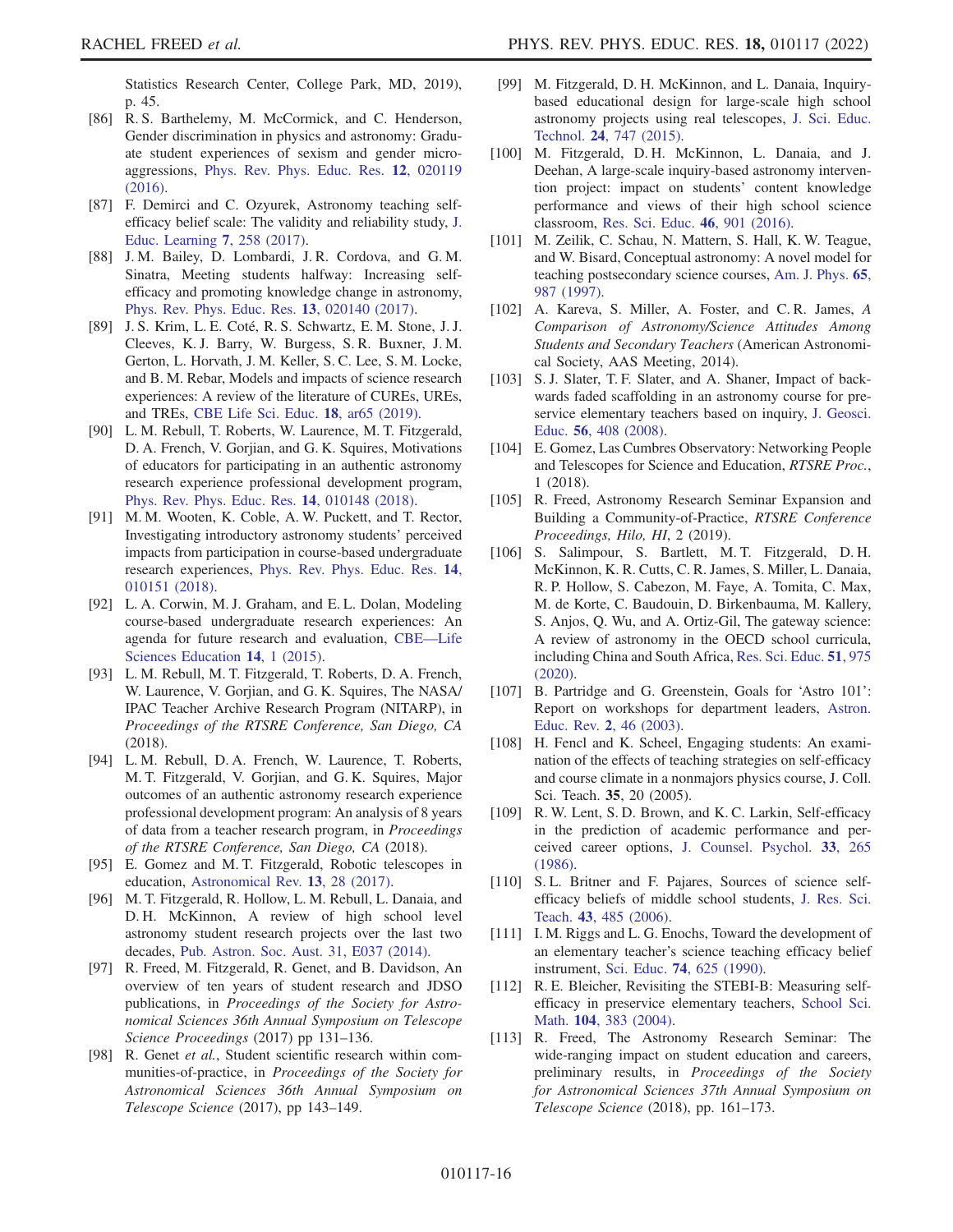Statistics Research Center, College Park, MD, 2019), p. 45.

- <span id="page-16-0"></span>[86] R. S. Barthelemy, M. McCormick, and C. Henderson, Gender discrimination in physics and astronomy: Graduate student experiences of sexism and gender microaggressions, [Phys. Rev. Phys. Educ. Res.](https://doi.org/10.1103/PhysRevPhysEducRes.12.020119) 12, 020119 [\(2016\).](https://doi.org/10.1103/PhysRevPhysEducRes.12.020119)
- <span id="page-16-1"></span>[87] F. Demirci and C. Ozyurek, Astronomy teaching selfefficacy belief scale: The validity and reliability study, [J.](https://doi.org/10.5539/jel.v7n1p258) [Educ. Learning](https://doi.org/10.5539/jel.v7n1p258) 7, 258 (2017).
- <span id="page-16-2"></span>[88] J. M. Bailey, D. Lombardi, J. R. Cordova, and G. M. Sinatra, Meeting students halfway: Increasing selfefficacy and promoting knowledge change in astronomy, [Phys. Rev. Phys. Educ. Res.](https://doi.org/10.1103/PhysRevPhysEducRes.13.020140) 13, 020140 (2017).
- <span id="page-16-3"></span>[89] J. S. Krim, L. E. Coté, R. S. Schwartz, E. M. Stone, J. J. Cleeves, K. J. Barry, W. Burgess, S. R. Buxner, J. M. Gerton, L. Horvath, J. M. Keller, S. C. Lee, S. M. Locke, and B. M. Rebar, Models and impacts of science research experiences: A review of the literature of CUREs, UREs, and TREs, [CBE Life Sci. Educ.](https://doi.org/10.1187/cbe.19-03-0069) 18, ar65 (2019).
- <span id="page-16-4"></span>[90] L. M. Rebull, T. Roberts, W. Laurence, M. T. Fitzgerald, D. A. French, V. Gorjian, and G. K. Squires, Motivations of educators for participating in an authentic astronomy research experience professional development program, [Phys. Rev. Phys. Educ. Res.](https://doi.org/10.1103/PhysRevPhysEducRes.14.010148) 14, 010148 (2018).
- <span id="page-16-5"></span>[91] M. M. Wooten, K. Coble, A. W. Puckett, and T. Rector, Investigating introductory astronomy students' perceived impacts from participation in course-based undergraduate research experiences, [Phys. Rev. Phys. Educ. Res.](https://doi.org/10.1103/PhysRevPhysEducRes.14.010151) 14, [010151 \(2018\)](https://doi.org/10.1103/PhysRevPhysEducRes.14.010151).
- <span id="page-16-6"></span>[92] L. A. Corwin, M. J. Graham, and E. L. Dolan, Modeling course-based undergraduate research experiences: An agenda for future research and evaluation, [CBE](https://doi.org/10.1187/cbe.14-10-0167)—Life [Sciences Education](https://doi.org/10.1187/cbe.14-10-0167) 14, 1 (2015).
- <span id="page-16-7"></span>[93] L. M. Rebull, M. T. Fitzgerald, T. Roberts, D. A. French, W. Laurence, V. Gorjian, and G. K. Squires, The NASA/ IPAC Teacher Archive Research Program (NITARP), in Proceedings of the RTSRE Conference, San Diego, CA (2018).
- <span id="page-16-8"></span>[94] L. M. Rebull, D. A. French, W. Laurence, T. Roberts, M. T. Fitzgerald, V. Gorjian, and G. K. Squires, Major outcomes of an authentic astronomy research experience professional development program: An analysis of 8 years of data from a teacher research program, in Proceedings of the RTSRE Conference, San Diego, CA (2018).
- <span id="page-16-10"></span><span id="page-16-9"></span>[95] E. Gomez and M. T. Fitzgerald, Robotic telescopes in education, [Astronomical Rev.](https://doi.org/10.1080/21672857.2017.1303264) 13, 28 (2017).
- [96] M. T. Fitzgerald, R. Hollow, L. M. Rebull, L. Danaia, and D. H. McKinnon, A review of high school level astronomy student research projects over the last two decades, [Pub. Astron. Soc. Aust. 31, E037 \(2014\).](https://doi.org/10.1017/pasa.2014.30)
- <span id="page-16-11"></span>[97] R. Freed, M. Fitzgerald, R. Genet, and B. Davidson, An overview of ten years of student research and JDSO publications, in Proceedings of the Society for Astronomical Sciences 36th Annual Symposium on Telescope Science Proceedings (2017) pp 131–136.
- <span id="page-16-12"></span>[98] R. Genet et al., Student scientific research within communities-of-practice, in Proceedings of the Society for Astronomical Sciences 36th Annual Symposium on Telescope Science (2017), pp 143–149.
- <span id="page-16-13"></span>[99] M. Fitzgerald, D. H. McKinnon, and L. Danaia, Inquirybased educational design for large-scale high school astronomy projects using real telescopes, [J. Sci. Educ.](https://doi.org/10.1007/s10956-015-9560-x) Technol. 24[, 747 \(2015\)](https://doi.org/10.1007/s10956-015-9560-x).
- <span id="page-16-14"></span>[100] M. Fitzgerald, D. H. McKinnon, L. Danaia, and J. Deehan, A large-scale inquiry-based astronomy intervention project: impact on students' content knowledge performance and views of their high school science classroom, [Res. Sci. Educ.](https://doi.org/10.1007/s11165-015-9486-6) 46, 901 (2016).
- <span id="page-16-15"></span>[101] M. Zeilik, C. Schau, N. Mattern, S. Hall, K. W. Teague, and W. Bisard, Conceptual astronomy: A novel model for teaching postsecondary science courses, [Am. J. Phys.](https://doi.org/10.1119/1.18702) 65, [987 \(1997\)](https://doi.org/10.1119/1.18702).
- <span id="page-16-16"></span>[102] A. Kareva, S. Miller, A. Foster, and C.R. James, A Comparison of Astronomy/Science Attitudes Among Students and Secondary Teachers (American Astronomical Society, AAS Meeting, 2014).
- <span id="page-16-17"></span>[103] S.J. Slater, T.F. Slater, and A. Shaner, Impact of backwards faded scaffolding in an astronomy course for preservice elementary teachers based on inquiry, [J. Geosci.](https://doi.org/10.5408/jge_nov2008_slater_408) Educ. 56[, 408 \(2008\).](https://doi.org/10.5408/jge_nov2008_slater_408)
- <span id="page-16-18"></span>[104] E. Gomez, Las Cumbres Observatory: Networking People and Telescopes for Science and Education, RTSRE Proc., 1 (2018).
- <span id="page-16-19"></span>[105] R. Freed, Astronomy Research Seminar Expansion and Building a Community-of-Practice, RTSRE Conference Proceedings, Hilo, HI, 2 (2019).
- <span id="page-16-20"></span>[106] S. Salimpour, S. Bartlett, M.T. Fitzgerald, D.H. McKinnon, K. R. Cutts, C. R. James, S. Miller, L. Danaia, R. P. Hollow, S. Cabezon, M. Faye, A. Tomita, C. Max, M. de Korte, C. Baudouin, D. Birkenbauma, M. Kallery, S. Anjos, Q. Wu, and A. Ortiz-Gil, The gateway science: A review of astronomy in the OECD school curricula, including China and South Africa, [Res. Sci. Educ.](https://doi.org/10.1007/s11165-020-09922-0) 51, 975 [\(2020\).](https://doi.org/10.1007/s11165-020-09922-0)
- <span id="page-16-21"></span>[107] B. Partridge and G. Greenstein, Goals for 'Astro 101': Report on workshops for department leaders, [Astron.](https://doi.org/10.3847/AER2003016) Educ. Rev. 2[, 46 \(2003\)](https://doi.org/10.3847/AER2003016).
- <span id="page-16-22"></span>[108] H. Fencl and K. Scheel, Engaging students: An examination of the effects of teaching strategies on self-efficacy and course climate in a nonmajors physics course, J. Coll. Sci. Teach. 35, 20 (2005).
- [109] R. W. Lent, S. D. Brown, and K. C. Larkin, Self-efficacy in the prediction of academic performance and perceived career options, [J. Counsel. Psychol.](https://doi.org/10.1037/0022-0167.33.3.265) 33, 265 [\(1986\).](https://doi.org/10.1037/0022-0167.33.3.265)
- <span id="page-16-23"></span>[110] S.L. Britner and F. Pajares, Sources of science selfefficacy beliefs of middle school students, [J. Res. Sci.](https://doi.org/10.1002/tea.20131) Teach. 43[, 485 \(2006\).](https://doi.org/10.1002/tea.20131)
- <span id="page-16-24"></span>[111] I. M. Riggs and L. G. Enochs, Toward the development of an elementary teacher's science teaching efficacy belief instrument, Sci. Educ. 74[, 625 \(1990\)](https://doi.org/10.1002/sce.3730740605).
- <span id="page-16-25"></span>[112] R. E. Bleicher, Revisiting the STEBI-B: Measuring selfefficacy in preservice elementary teachers, [School Sci.](https://doi.org/10.1111/j.1949-8594.2004.tb18004.x) Math. 104[, 383 \(2004\).](https://doi.org/10.1111/j.1949-8594.2004.tb18004.x)
- <span id="page-16-26"></span>[113] R. Freed, The Astronomy Research Seminar: The wide-ranging impact on student education and careers, preliminary results, in Proceedings of the Society for Astronomical Sciences 37th Annual Symposium on Telescope Science (2018), pp. 161–173.